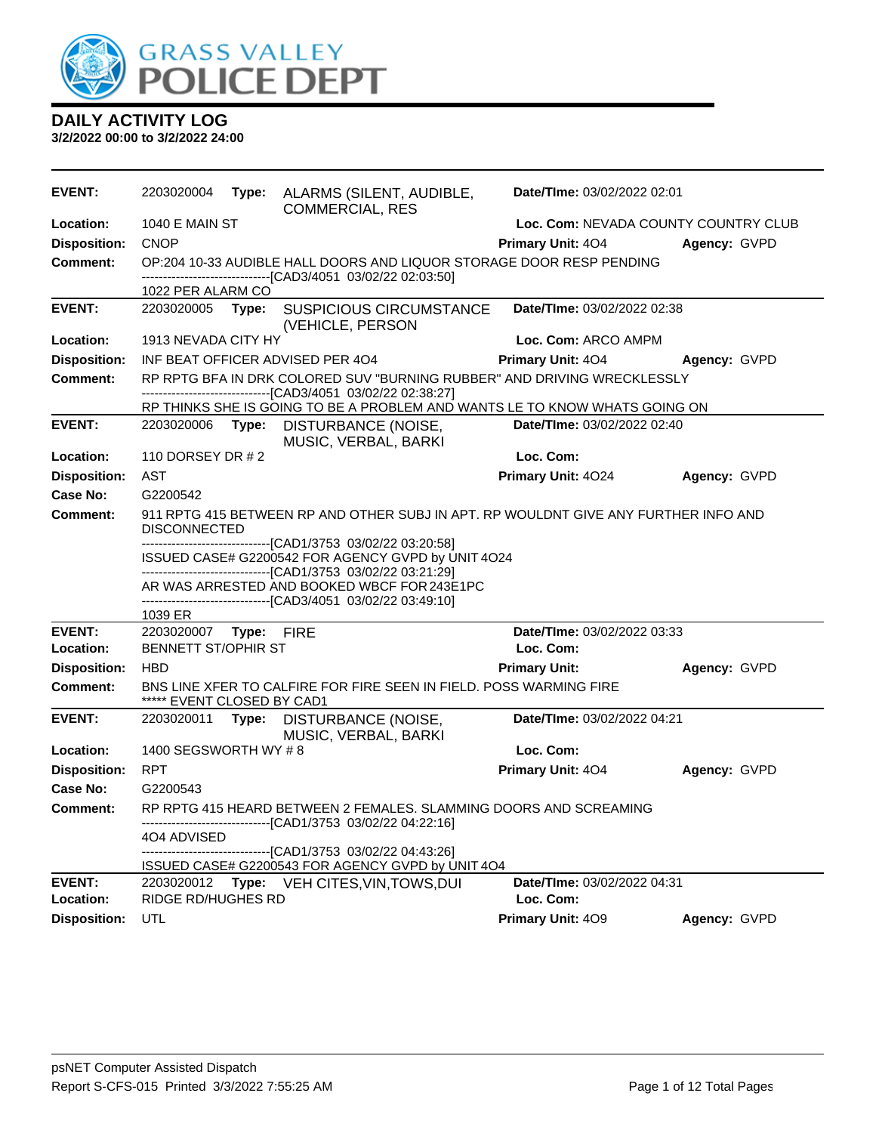

| <b>EVENT:</b>              | 2203020004                                                                          |  | Type: ALARMS (SILENT, AUDIBLE,<br><b>COMMERCIAL, RES</b>                                                                                   | Date/TIme: 03/02/2022 02:01              |              |
|----------------------------|-------------------------------------------------------------------------------------|--|--------------------------------------------------------------------------------------------------------------------------------------------|------------------------------------------|--------------|
| Location:                  | <b>1040 E MAIN ST</b>                                                               |  |                                                                                                                                            | Loc. Com: NEVADA COUNTY COUNTRY CLUB     |              |
| <b>Disposition:</b>        | <b>CNOP</b>                                                                         |  |                                                                                                                                            | <b>Primary Unit: 404</b>                 | Agency: GVPD |
| <b>Comment:</b>            |                                                                                     |  | OP:204 10-33 AUDIBLE HALL DOORS AND LIQUOR STORAGE DOOR RESP PENDING                                                                       |                                          |              |
|                            | 1022 PER ALARM CO                                                                   |  | -------------------------------[CAD3/4051 03/02/22 02:03:50]                                                                               |                                          |              |
| <b>EVENT:</b>              | 2203020005 <b>Type:</b>                                                             |  | <b>SUSPICIOUS CIRCUMSTANCE</b>                                                                                                             | Date/TIme: 03/02/2022 02:38              |              |
|                            |                                                                                     |  | (VEHICLE, PERSON                                                                                                                           |                                          |              |
| Location:                  | 1913 NEVADA CITY HY                                                                 |  |                                                                                                                                            | Loc. Com: ARCO AMPM                      |              |
| <b>Disposition:</b>        |                                                                                     |  | INF BEAT OFFICER ADVISED PER 404                                                                                                           | <b>Primary Unit: 404</b>                 | Agency: GVPD |
| <b>Comment:</b>            |                                                                                     |  | RP RPTG BFA IN DRK COLORED SUV "BURNING RUBBER" AND DRIVING WRECKLESSLY                                                                    |                                          |              |
|                            |                                                                                     |  | -------------------------------[CAD3/4051 03/02/22 02:38:27]<br>RP THINKS SHE IS GOING TO BE A PROBLEM AND WANTS LE TO KNOW WHATS GOING ON |                                          |              |
| <b>EVENT:</b>              | 2203020006 Type:                                                                    |  | DISTURBANCE (NOISE,                                                                                                                        | Date/TIme: 03/02/2022 02:40              |              |
|                            |                                                                                     |  | MUSIC, VERBAL, BARKI                                                                                                                       |                                          |              |
| Location:                  | 110 DORSEY DR # 2                                                                   |  |                                                                                                                                            | Loc. Com:                                |              |
| <b>Disposition:</b>        | AST                                                                                 |  |                                                                                                                                            | Primary Unit: 4024                       | Agency: GVPD |
| <b>Case No:</b>            | G2200542                                                                            |  |                                                                                                                                            |                                          |              |
| <b>Comment:</b>            |                                                                                     |  | 911 RPTG 415 BETWEEN RP AND OTHER SUBJ IN APT. RP WOULDNT GIVE ANY FURTHER INFO AND                                                        |                                          |              |
|                            | <b>DISCONNECTED</b><br>-------------------------------[CAD1/3753_03/02/22_03:20:58] |  |                                                                                                                                            |                                          |              |
|                            |                                                                                     |  | ISSUED CASE# G2200542 FOR AGENCY GVPD by UNIT 4O24                                                                                         |                                          |              |
|                            |                                                                                     |  | -------------------------------[CAD1/3753 03/02/22 03:21:29]<br>AR WAS ARRESTED AND BOOKED WBCF FOR 243E1PC                                |                                          |              |
|                            |                                                                                     |  | ----------------------[CAD3/4051_03/02/22 03:49:10]                                                                                        |                                          |              |
|                            | 1039 ER                                                                             |  |                                                                                                                                            |                                          |              |
| <b>EVENT:</b>              | 2203020007 Type: FIRE                                                               |  |                                                                                                                                            | Date/TIme: 03/02/2022 03:33              |              |
| Location:                  | <b>BENNETT ST/OPHIR ST</b>                                                          |  |                                                                                                                                            | Loc. Com:                                |              |
| <b>Disposition:</b>        | <b>HBD</b>                                                                          |  |                                                                                                                                            | <b>Primary Unit:</b>                     | Agency: GVPD |
| <b>Comment:</b>            | ***** EVENT CLOSED BY CAD1                                                          |  | BNS LINE XFER TO CALFIRE FOR FIRE SEEN IN FIELD. POSS WARMING FIRE                                                                         |                                          |              |
| <b>EVENT:</b>              | 2203020011                                                                          |  | Type: DISTURBANCE (NOISE,                                                                                                                  | Date/TIme: 03/02/2022 04:21              |              |
|                            |                                                                                     |  | MUSIC, VERBAL, BARKI                                                                                                                       |                                          |              |
| Location:                  | 1400 SEGSWORTH WY #8                                                                |  |                                                                                                                                            | Loc. Com:                                |              |
| <b>Disposition:</b>        | <b>RPT</b>                                                                          |  |                                                                                                                                            | Primary Unit: 404                        | Agency: GVPD |
| Case No:                   | G2200543                                                                            |  |                                                                                                                                            |                                          |              |
| Comment:                   |                                                                                     |  | RP RPTG 415 HEARD BETWEEN 2 FEMALES. SLAMMING DOORS AND SCREAMING                                                                          |                                          |              |
|                            | 404 ADVISED                                                                         |  | ---------------------[CAD1/3753_03/02/22 04:22:16]                                                                                         |                                          |              |
|                            |                                                                                     |  | -------------------------------[CAD1/3753_03/02/22_04:43:26]                                                                               |                                          |              |
|                            |                                                                                     |  | ISSUED CASE# G2200543 FOR AGENCY GVPD by UNIT 4O4                                                                                          |                                          |              |
| <b>EVENT:</b><br>Location: | 2203020012<br><b>RIDGE RD/HUGHES RD</b>                                             |  | Type: VEH CITES, VIN, TOWS, DUI                                                                                                            | Date/TIme: 03/02/2022 04:31<br>Loc. Com: |              |
| <b>Disposition:</b>        | UTL                                                                                 |  |                                                                                                                                            | Primary Unit: 409                        | Agency: GVPD |
|                            |                                                                                     |  |                                                                                                                                            |                                          |              |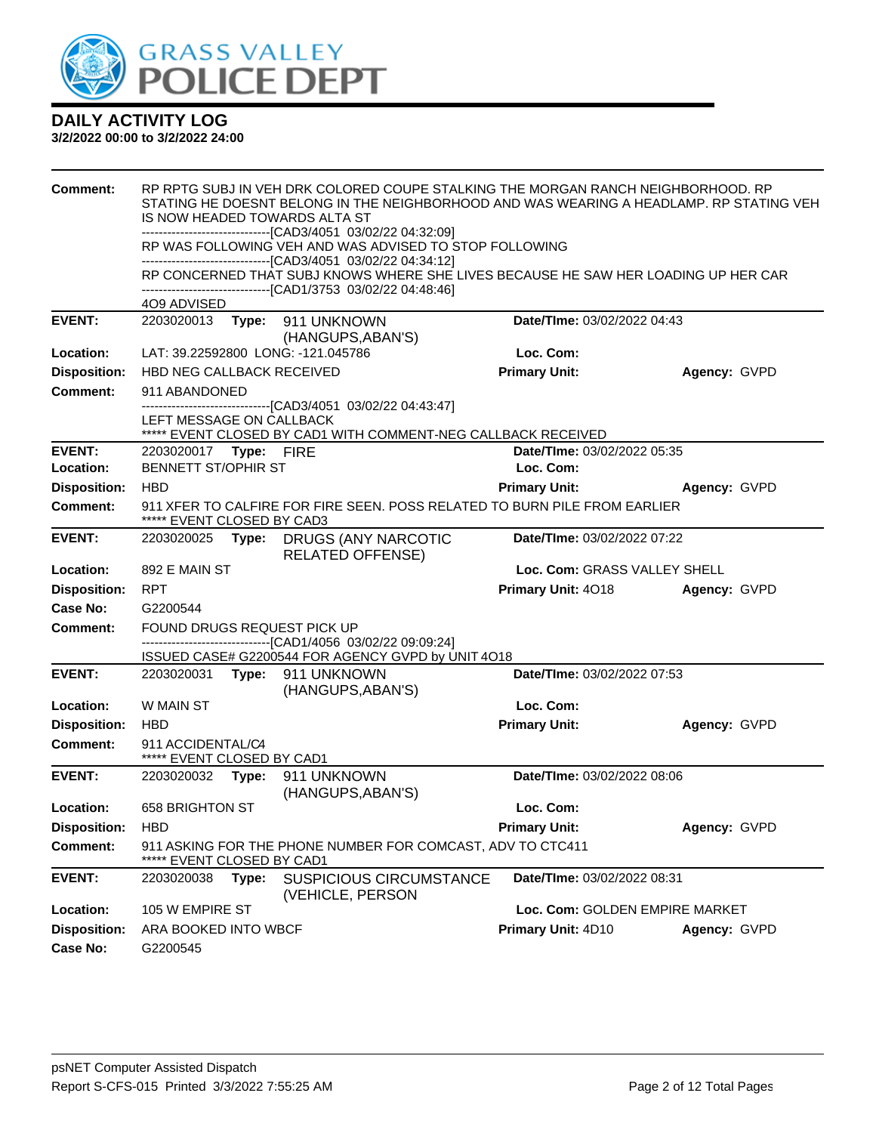

| <b>Comment:</b>     | RP RPTG SUBJ IN VEH DRK COLORED COUPE STALKING THE MORGAN RANCH NEIGHBORHOOD. RP<br>STATING HE DOESNT BELONG IN THE NEIGHBORHOOD AND WAS WEARING A HEADLAMP. RP STATING VEH<br>IS NOW HEADED TOWARDS ALTA ST |       |                                                                                                                                                                                                                     |                                |              |  |
|---------------------|--------------------------------------------------------------------------------------------------------------------------------------------------------------------------------------------------------------|-------|---------------------------------------------------------------------------------------------------------------------------------------------------------------------------------------------------------------------|--------------------------------|--------------|--|
|                     |                                                                                                                                                                                                              |       | -------------------------------[CAD3/4051_03/02/22_04:32:09]                                                                                                                                                        |                                |              |  |
|                     |                                                                                                                                                                                                              |       | RP WAS FOLLOWING VEH AND WAS ADVISED TO STOP FOLLOWING                                                                                                                                                              |                                |              |  |
|                     |                                                                                                                                                                                                              |       | --------------------------------[CAD3/4051 03/02/22 04:34:12]<br>RP CONCERNED THAT SUBJ KNOWS WHERE SHE LIVES BECAUSE HE SAW HER LOADING UP HER CAR<br>-------------------------------[CAD1/3753_03/02/22_04:48:46] |                                |              |  |
|                     | 4O9 ADVISED                                                                                                                                                                                                  |       |                                                                                                                                                                                                                     |                                |              |  |
| <b>EVENT:</b>       | 2203020013                                                                                                                                                                                                   | Type: | 911 UNKNOWN<br>(HANGUPS, ABAN'S)                                                                                                                                                                                    | Date/TIme: 03/02/2022 04:43    |              |  |
| Location:           |                                                                                                                                                                                                              |       | LAT: 39.22592800 LONG: -121.045786                                                                                                                                                                                  | Loc. Com:                      |              |  |
| <b>Disposition:</b> | HBD NEG CALLBACK RECEIVED                                                                                                                                                                                    |       |                                                                                                                                                                                                                     | <b>Primary Unit:</b>           | Agency: GVPD |  |
| <b>Comment:</b>     | 911 ABANDONED                                                                                                                                                                                                |       |                                                                                                                                                                                                                     |                                |              |  |
|                     | LEFT MESSAGE ON CALLBACK                                                                                                                                                                                     |       | ---------------------[CAD3/4051_03/02/22 04:43:47]<br>***** EVENT CLOSED BY CAD1 WITH COMMENT-NEG CALLBACK RECEIVED                                                                                                 |                                |              |  |
| <b>EVENT:</b>       | 2203020017 Type: FIRE                                                                                                                                                                                        |       |                                                                                                                                                                                                                     | Date/TIme: 03/02/2022 05:35    |              |  |
| Location:           | <b>BENNETT ST/OPHIR ST</b>                                                                                                                                                                                   |       |                                                                                                                                                                                                                     | Loc. Com:                      |              |  |
| <b>Disposition:</b> | <b>HBD</b>                                                                                                                                                                                                   |       |                                                                                                                                                                                                                     | <b>Primary Unit:</b>           | Agency: GVPD |  |
| <b>Comment:</b>     | 911 XFER TO CALFIRE FOR FIRE SEEN. POSS RELATED TO BURN PILE FROM EARLIER<br>***** EVENT CLOSED BY CAD3                                                                                                      |       |                                                                                                                                                                                                                     |                                |              |  |
| <b>EVENT:</b>       | 2203020025                                                                                                                                                                                                   |       | Type: DRUGS (ANY NARCOTIC<br><b>RELATED OFFENSE)</b>                                                                                                                                                                | Date/TIme: 03/02/2022 07:22    |              |  |
| Location:           | 892 E MAIN ST                                                                                                                                                                                                |       |                                                                                                                                                                                                                     | Loc. Com: GRASS VALLEY SHELL   |              |  |
| <b>Disposition:</b> | <b>RPT</b>                                                                                                                                                                                                   |       |                                                                                                                                                                                                                     | Primary Unit: 4018             | Agency: GVPD |  |
| Case No:            | G2200544                                                                                                                                                                                                     |       |                                                                                                                                                                                                                     |                                |              |  |
| Comment:            | FOUND DRUGS REQUEST PICK UP                                                                                                                                                                                  |       |                                                                                                                                                                                                                     |                                |              |  |
|                     |                                                                                                                                                                                                              |       | ------------------------------[CAD1/4056 03/02/22 09:09:24]<br>ISSUED CASE# G2200544 FOR AGENCY GVPD by UNIT 4O18                                                                                                   |                                |              |  |
| <b>EVENT:</b>       |                                                                                                                                                                                                              |       | 2203020031 Type: 911 UNKNOWN                                                                                                                                                                                        | Date/TIme: 03/02/2022 07:53    |              |  |
|                     |                                                                                                                                                                                                              |       | (HANGUPS, ABAN'S)                                                                                                                                                                                                   |                                |              |  |
| Location:           | W MAIN ST                                                                                                                                                                                                    |       |                                                                                                                                                                                                                     | Loc. Com:                      |              |  |
| <b>Disposition:</b> | <b>HBD</b>                                                                                                                                                                                                   |       |                                                                                                                                                                                                                     | <b>Primary Unit:</b>           | Agency: GVPD |  |
| Comment:            | 911 ACCIDENTAL/C4<br>***** EVENT CLOSED BY CAD1                                                                                                                                                              |       |                                                                                                                                                                                                                     |                                |              |  |
| <b>EVENT:</b>       | 2203020032                                                                                                                                                                                                   |       | Type: 911 UNKNOWN<br>(HANGUPS, ABAN'S)                                                                                                                                                                              | Date/TIme: 03/02/2022 08:06    |              |  |
| Location:           | 658 BRIGHTON ST                                                                                                                                                                                              |       |                                                                                                                                                                                                                     | Loc. Com:                      |              |  |
| <b>Disposition:</b> | <b>HBD</b>                                                                                                                                                                                                   |       |                                                                                                                                                                                                                     | <b>Primary Unit:</b>           | Agency: GVPD |  |
| <b>Comment:</b>     | EVENT CLOSED BY CAD1                                                                                                                                                                                         |       | 911 ASKING FOR THE PHONE NUMBER FOR COMCAST, ADV TO CTC411                                                                                                                                                          |                                |              |  |
| <b>EVENT:</b>       | 2203020038                                                                                                                                                                                                   | Type: | <b>SUSPICIOUS CIRCUMSTANCE</b><br>(VEHICLE, PERSON                                                                                                                                                                  | Date/TIme: 03/02/2022 08:31    |              |  |
| Location:           | 105 W EMPIRE ST                                                                                                                                                                                              |       |                                                                                                                                                                                                                     | Loc. Com: GOLDEN EMPIRE MARKET |              |  |
| <b>Disposition:</b> | ARA BOOKED INTO WBCF                                                                                                                                                                                         |       |                                                                                                                                                                                                                     | Primary Unit: 4D10             | Agency: GVPD |  |
| <b>Case No:</b>     | G2200545                                                                                                                                                                                                     |       |                                                                                                                                                                                                                     |                                |              |  |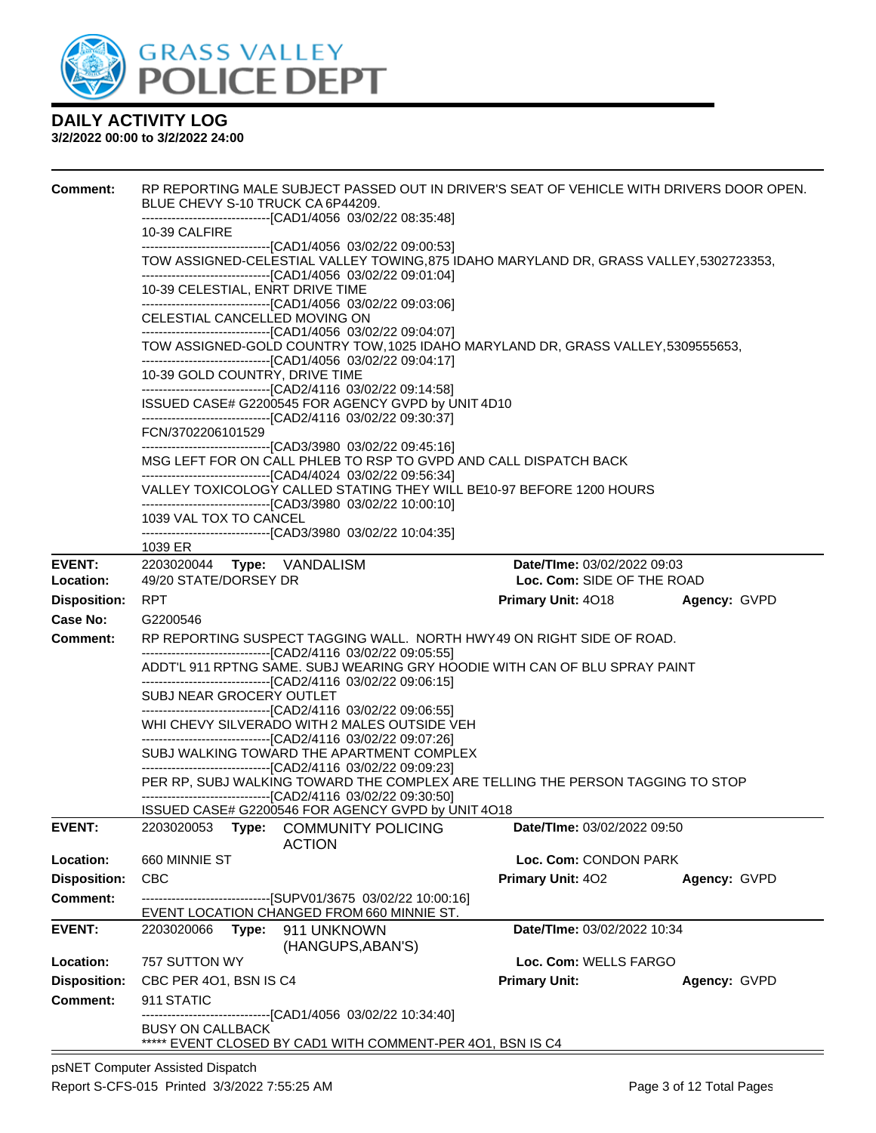

| <b>Comment:</b>            | RP REPORTING MALE SUBJECT PASSED OUT IN DRIVER'S SEAT OF VEHICLE WITH DRIVERS DOOR OPEN.<br>BLUE CHEVY S-10 TRUCK CA 6P44209.                                    |                                                           |              |  |  |
|----------------------------|------------------------------------------------------------------------------------------------------------------------------------------------------------------|-----------------------------------------------------------|--------------|--|--|
|                            | -------------------------------[CAD1/4056 03/02/22 08:35:48]<br>10-39 CALFIRE                                                                                    |                                                           |              |  |  |
|                            | -------------------------------[CAD1/4056 03/02/22 09:00:53]<br>TOW ASSIGNED-CELESTIAL VALLEY TOWING, 875 IDAHO MARYLAND DR, GRASS VALLEY, 5302723353,           |                                                           |              |  |  |
|                            | -------------------------------[CAD1/4056 03/02/22 09:01:04]<br>10-39 CELESTIAL, ENRT DRIVE TIME<br>-------------------------------[CAD1/4056 03/02/22 09:03:06] |                                                           |              |  |  |
|                            | CELESTIAL CANCELLED MOVING ON<br>-------------------------------[CAD1/4056 03/02/22 09:04:07]                                                                    |                                                           |              |  |  |
|                            | TOW ASSIGNED-GOLD COUNTRY TOW, 1025 IDAHO MARYLAND DR, GRASS VALLEY, 5309555653,<br>-------------------------------[CAD1/4056 03/02/22 09:04:17]                 |                                                           |              |  |  |
|                            | 10-39 GOLD COUNTRY, DRIVE TIME<br>-------------------------------[CAD2/4116 03/02/22 09:14:58]                                                                   |                                                           |              |  |  |
|                            | ISSUED CASE# G2200545 FOR AGENCY GVPD by UNIT 4D10<br>-------------------------------[CAD2/4116 03/02/22 09:30:37]                                               |                                                           |              |  |  |
|                            | FCN/3702206101529<br>----------------------------------[CAD3/3980_03/02/22_09:45:16]                                                                             |                                                           |              |  |  |
|                            | MSG LEFT FOR ON CALL PHLEB TO RSP TO GVPD AND CALL DISPATCH BACK<br>-------------------------------[CAD4/4024 03/02/22 09:56:34]                                 |                                                           |              |  |  |
|                            | VALLEY TOXICOLOGY CALLED STATING THEY WILL BE10-97 BEFORE 1200 HOURS<br>-------------------------------[CAD3/3980 03/02/22 10:00:10]                             |                                                           |              |  |  |
|                            | 1039 VAL TOX TO CANCEL<br>------------------------------[CAD3/3980 03/02/22 10:04:35]                                                                            |                                                           |              |  |  |
|                            | 1039 ER                                                                                                                                                          |                                                           |              |  |  |
| <b>EVENT:</b><br>Location: | 49/20 STATE/DORSEY DR                                                                                                                                            | Date/TIme: 03/02/2022 09:03<br>Loc. Com: SIDE OF THE ROAD |              |  |  |
| <b>Disposition:</b>        | <b>RPT</b>                                                                                                                                                       | <b>Primary Unit: 4018</b>                                 | Agency: GVPD |  |  |
| Case No:                   | G2200546                                                                                                                                                         |                                                           |              |  |  |
| Comment:                   | RP REPORTING SUSPECT TAGGING WALL. NORTH HWY49 ON RIGHT SIDE OF ROAD.<br>-------------------------------[CAD2/4116 03/02/22 09:05:55]                            |                                                           |              |  |  |
|                            | ADDT'L 911 RPTNG SAME. SUBJ WEARING GRY HOODIE WITH CAN OF BLU SPRAY PAINT<br>-------------------------------[CAD2/4116 03/02/22 09:06:15]                       |                                                           |              |  |  |
|                            | SUBJ NEAR GROCERY OUTLET<br>-------------------------------[CAD2/4116 03/02/22 09:06:55]                                                                         |                                                           |              |  |  |
|                            | WHI CHEVY SILVERADO WITH 2 MALES OUTSIDE VEH<br>-------------------------------[CAD2/4116 03/02/22 09:07:26]                                                     |                                                           |              |  |  |
|                            | SUBJ WALKING TOWARD THE APARTMENT COMPLEX<br>----------------------------------[CAD2/4116 03/02/22 09:09:23]                                                     |                                                           |              |  |  |
|                            | PER RP, SUBJ WALKING TOWARD THE COMPLEX ARE TELLING THE PERSON TAGGING TO STOP<br>-------------------------------[CAD2/4116 03/02/22 09:30:50]                   |                                                           |              |  |  |
|                            | ISSUED CASE# G2200546 FOR AGENCY GVPD by UNIT 4O18                                                                                                               |                                                           |              |  |  |
| <b>EVENT:</b>              | 2203020053<br><b>COMMUNITY POLICING</b><br>Type:<br><b>ACTION</b>                                                                                                | Date/TIme: 03/02/2022 09:50                               |              |  |  |
| Location:                  | 660 MINNIE ST                                                                                                                                                    | Loc. Com: CONDON PARK                                     |              |  |  |
| <b>Disposition:</b>        | <b>CBC</b>                                                                                                                                                       | <b>Primary Unit: 402</b>                                  | Agency: GVPD |  |  |
| <b>Comment:</b>            | ------------------------------[SUPV01/3675 03/02/22 10:00:16]<br>EVENT LOCATION CHANGED FROM 660 MINNIE ST.                                                      |                                                           |              |  |  |
| <b>EVENT:</b>              | 911 UNKNOWN<br>2203020066<br>Type:<br>(HANGUPS, ABAN'S)                                                                                                          | Date/TIme: 03/02/2022 10:34                               |              |  |  |
| Location:                  | 757 SUTTON WY                                                                                                                                                    | Loc. Com: WELLS FARGO                                     |              |  |  |
| <b>Disposition:</b>        | CBC PER 4O1, BSN IS C4                                                                                                                                           | <b>Primary Unit:</b>                                      | Agency: GVPD |  |  |
| <b>Comment:</b>            | 911 STATIC<br>-----------------[CAD1/4056 03/02/22 10:34:40]                                                                                                     |                                                           |              |  |  |
|                            | <b>BUSY ON CALLBACK</b><br>***** EVENT CLOSED BY CAD1 WITH COMMENT-PER 401, BSN IS C4                                                                            |                                                           |              |  |  |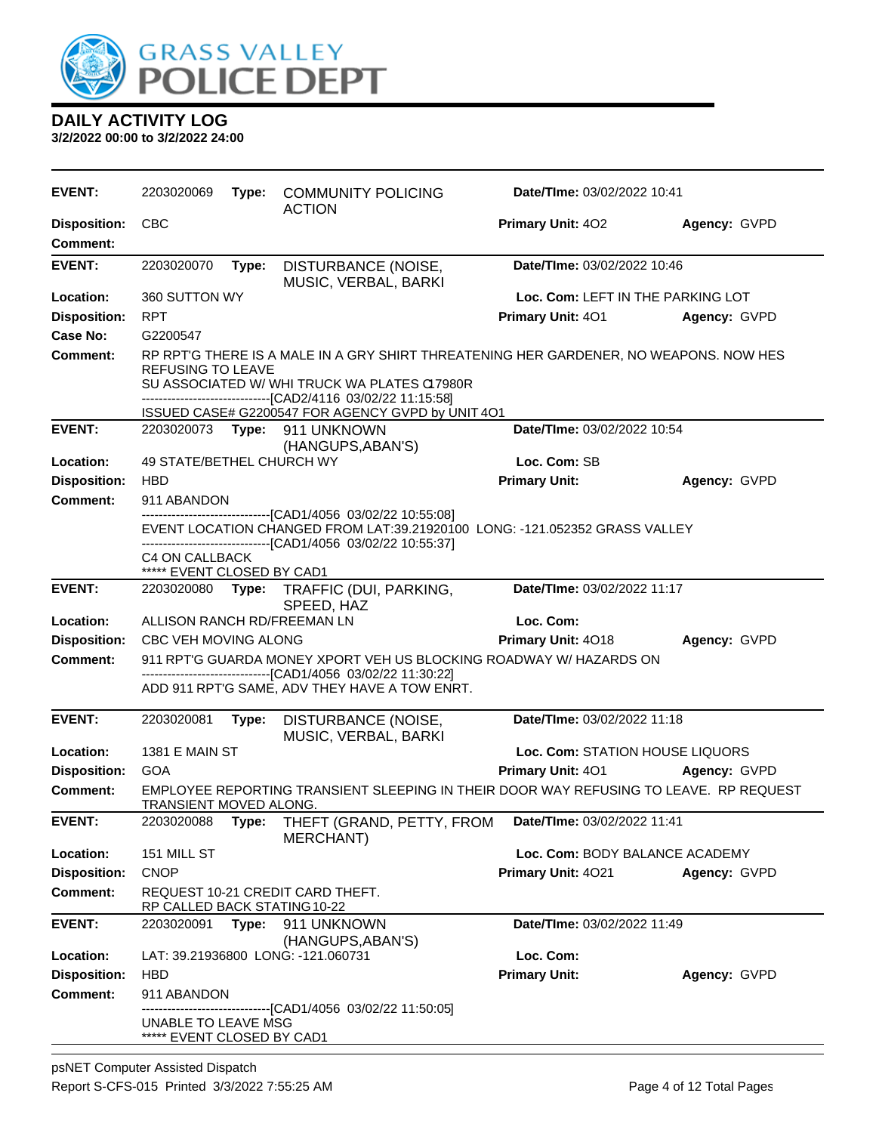

| EVENT:                                 | 2203020069                                                                                                                                                                                  | Type: | <b>COMMUNITY POLICING</b><br><b>ACTION</b>                                                                                                                                                            | Date/TIme: 03/02/2022 10:41        |              |
|----------------------------------------|---------------------------------------------------------------------------------------------------------------------------------------------------------------------------------------------|-------|-------------------------------------------------------------------------------------------------------------------------------------------------------------------------------------------------------|------------------------------------|--------------|
| <b>Disposition:</b><br><b>Comment:</b> | <b>CBC</b>                                                                                                                                                                                  |       |                                                                                                                                                                                                       | <b>Primary Unit: 402</b>           | Agency: GVPD |
| <b>EVENT:</b>                          | 2203020070                                                                                                                                                                                  | Type: | DISTURBANCE (NOISE,<br>MUSIC, VERBAL, BARKI                                                                                                                                                           | Date/TIme: 03/02/2022 10:46        |              |
| Location:                              | 360 SUTTON WY                                                                                                                                                                               |       |                                                                                                                                                                                                       | Loc. Com: LEFT IN THE PARKING LOT  |              |
| <b>Disposition:</b>                    | <b>RPT</b>                                                                                                                                                                                  |       |                                                                                                                                                                                                       | <b>Primary Unit: 401</b>           | Agency: GVPD |
| Case No:                               | G2200547                                                                                                                                                                                    |       |                                                                                                                                                                                                       |                                    |              |
| <b>Comment:</b>                        | <b>REFUSING TO LEAVE</b>                                                                                                                                                                    |       | RP RPT'G THERE IS A MALE IN A GRY SHIRT THREATENING HER GARDENER, NO WEAPONS. NOW HES<br>SU ASSOCIATED W/ WHI TRUCK WA PLATES C17980R<br>-------------------------------[CAD2/4116 03/02/22 11:15:58] |                                    |              |
|                                        |                                                                                                                                                                                             |       | ISSUED CASE# G2200547 FOR AGENCY GVPD by UNIT 4O1                                                                                                                                                     |                                    |              |
| <b>EVENT:</b>                          |                                                                                                                                                                                             |       | 2203020073    Type: 911    UNKNOWN<br>(HANGUPS, ABAN'S)                                                                                                                                               | Date/TIme: 03/02/2022 10:54        |              |
| Location:                              | <b>49 STATE/BETHEL CHURCH WY</b>                                                                                                                                                            |       |                                                                                                                                                                                                       | Loc. Com: SB                       |              |
| <b>Disposition:</b>                    | <b>HBD</b>                                                                                                                                                                                  |       |                                                                                                                                                                                                       | <b>Primary Unit:</b>               | Agency: GVPD |
| <b>Comment:</b>                        | 911 ABANDON                                                                                                                                                                                 |       |                                                                                                                                                                                                       |                                    |              |
|                                        | --------------------------[CAD1/4056 03/02/22 10:55:08]<br>EVENT LOCATION CHANGED FROM LAT:39.21920100 LONG: -121.052352 GRASS VALLEY<br>---------------------[CAD1/4056_03/02/22 10:55:37] |       |                                                                                                                                                                                                       |                                    |              |
|                                        | C4 ON CALLBACK<br>***** EVENT CLOSED BY CAD1                                                                                                                                                |       |                                                                                                                                                                                                       |                                    |              |
| <b>EVENT:</b>                          | Date/TIme: 03/02/2022 11:17<br>2203020080<br>TRAFFIC (DUI, PARKING,<br>Type:<br>SPEED, HAZ                                                                                                  |       |                                                                                                                                                                                                       |                                    |              |
| Location:                              | ALLISON RANCH RD/FREEMAN LN                                                                                                                                                                 |       |                                                                                                                                                                                                       | Loc. Com:                          |              |
| <b>Disposition:</b>                    | CBC VEH MOVING ALONG                                                                                                                                                                        |       |                                                                                                                                                                                                       | Primary Unit: 4018                 | Agency: GVPD |
| <b>Comment:</b>                        |                                                                                                                                                                                             |       | 911 RPT'G GUARDA MONEY XPORT VEH US BLOCKING ROADWAY W/ HAZARDS ON<br>-------------------------------[CAD1/4056 03/02/22 11:30:22]<br>ADD 911 RPT'G SAME, ADV THEY HAVE A TOW ENRT.                   |                                    |              |
| <b>EVENT:</b>                          | 2203020081                                                                                                                                                                                  | Type: | DISTURBANCE (NOISE,<br>MUSIC, VERBAL, BARKI                                                                                                                                                           | Date/TIme: 03/02/2022 11:18        |              |
| Location:                              | 1381 E MAIN ST                                                                                                                                                                              |       |                                                                                                                                                                                                       | Loc. Com: STATION HOUSE LIQUORS    |              |
| <b>Disposition:</b>                    | <b>GOA</b>                                                                                                                                                                                  |       |                                                                                                                                                                                                       | Primary Unit: 401                  | Agency: GVPD |
| <b>Comment:</b>                        | TRANSIENT MOVED ALONG.                                                                                                                                                                      |       | EMPLOYEE REPORTING TRANSIENT SLEEPING IN THEIR DOOR WAY REFUSING TO LEAVE. RP REQUEST                                                                                                                 |                                    |              |
| <b>EVENT:</b>                          | 2203020088                                                                                                                                                                                  | Type: | THEFT (GRAND, PETTY, FROM<br><b>MERCHANT)</b>                                                                                                                                                         | <b>Date/Time: 03/02/2022 11:41</b> |              |
| Location:                              | 151 MILL ST                                                                                                                                                                                 |       |                                                                                                                                                                                                       | Loc. Com: BODY BALANCE ACADEMY     |              |
| <b>Disposition:</b>                    | <b>CNOP</b>                                                                                                                                                                                 |       |                                                                                                                                                                                                       | Primary Unit: 4021                 | Agency: GVPD |
| <b>Comment:</b>                        | RP CALLED BACK STATING 10-22                                                                                                                                                                |       | REQUEST 10-21 CREDIT CARD THEFT.                                                                                                                                                                      |                                    |              |
| <b>EVENT:</b>                          | 2203020091                                                                                                                                                                                  | Type: | 911 UNKNOWN<br>(HANGUPS, ABAN'S)                                                                                                                                                                      | Date/TIme: 03/02/2022 11:49        |              |
| Location:                              |                                                                                                                                                                                             |       | LAT: 39.21936800 LONG: -121.060731                                                                                                                                                                    | Loc. Com:                          |              |
| <b>Disposition:</b>                    | HBD                                                                                                                                                                                         |       |                                                                                                                                                                                                       | <b>Primary Unit:</b>               | Agency: GVPD |
| <b>Comment:</b>                        | 911 ABANDON                                                                                                                                                                                 |       |                                                                                                                                                                                                       |                                    |              |
|                                        | UNABLE TO LEAVE MSG<br>***** EVENT CLOSED BY CAD1                                                                                                                                           |       | ---------------------------[CAD1/4056_03/02/22_11:50:05]                                                                                                                                              |                                    |              |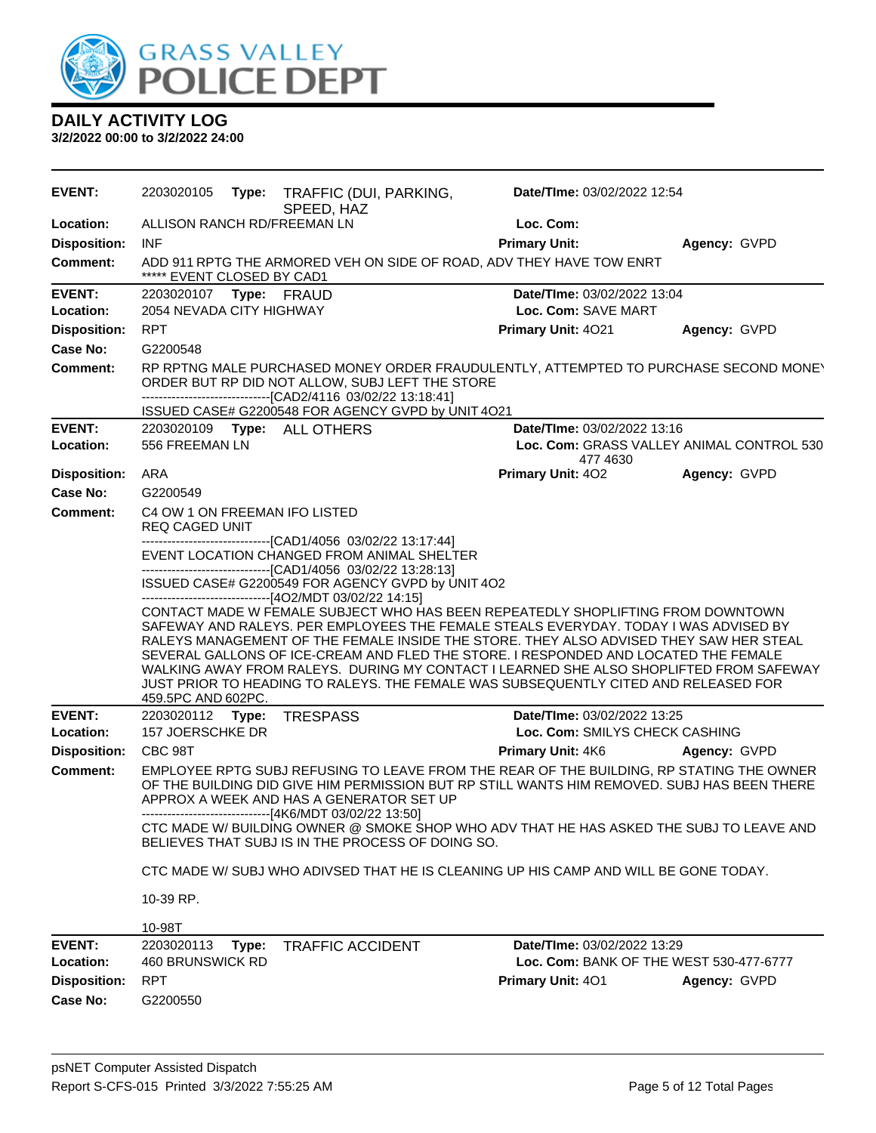

| <b>EVENT:</b>              | 2203020105                                                                                                                                                                                                                                                                                                                                                                                |       | Type: TRAFFIC (DUI, PARKING,<br>SPEED, HAZ                                                                                                                                | Date/TIme: 03/02/2022 12:54                                                                                                                                                                                                                                                                                                                                                                                                                                                                                                               |                                           |  |  |
|----------------------------|-------------------------------------------------------------------------------------------------------------------------------------------------------------------------------------------------------------------------------------------------------------------------------------------------------------------------------------------------------------------------------------------|-------|---------------------------------------------------------------------------------------------------------------------------------------------------------------------------|-------------------------------------------------------------------------------------------------------------------------------------------------------------------------------------------------------------------------------------------------------------------------------------------------------------------------------------------------------------------------------------------------------------------------------------------------------------------------------------------------------------------------------------------|-------------------------------------------|--|--|
| Location:                  | ALLISON RANCH RD/FREEMAN LN                                                                                                                                                                                                                                                                                                                                                               |       |                                                                                                                                                                           | Loc. Com:                                                                                                                                                                                                                                                                                                                                                                                                                                                                                                                                 |                                           |  |  |
| <b>Disposition:</b>        | <b>INF</b>                                                                                                                                                                                                                                                                                                                                                                                |       |                                                                                                                                                                           | <b>Primary Unit:</b>                                                                                                                                                                                                                                                                                                                                                                                                                                                                                                                      | Agency: GVPD                              |  |  |
| <b>Comment:</b>            | ***** EVENT CLOSED BY CAD1                                                                                                                                                                                                                                                                                                                                                                |       |                                                                                                                                                                           | ADD 911 RPTG THE ARMORED VEH ON SIDE OF ROAD, ADV THEY HAVE TOW ENRT                                                                                                                                                                                                                                                                                                                                                                                                                                                                      |                                           |  |  |
| <b>EVENT:</b><br>Location: | 2203020107 Type: FRAUD<br>2054 NEVADA CITY HIGHWAY                                                                                                                                                                                                                                                                                                                                        |       |                                                                                                                                                                           | Date/TIme: 03/02/2022 13:04<br>Loc. Com: SAVE MART                                                                                                                                                                                                                                                                                                                                                                                                                                                                                        |                                           |  |  |
| <b>Disposition:</b>        | <b>RPT</b>                                                                                                                                                                                                                                                                                                                                                                                |       |                                                                                                                                                                           | Primary Unit: 4021                                                                                                                                                                                                                                                                                                                                                                                                                                                                                                                        | Agency: GVPD                              |  |  |
| Case No:                   | G2200548                                                                                                                                                                                                                                                                                                                                                                                  |       |                                                                                                                                                                           |                                                                                                                                                                                                                                                                                                                                                                                                                                                                                                                                           |                                           |  |  |
| <b>Comment:</b>            |                                                                                                                                                                                                                                                                                                                                                                                           |       | ORDER BUT RP DID NOT ALLOW, SUBJ LEFT THE STORE<br>-------------------------------[CAD2/4116 03/02/22 13:18:41]<br>ISSUED CASE# G2200548 FOR AGENCY GVPD by UNIT 4O21     | RP RPTNG MALE PURCHASED MONEY ORDER FRAUDULENTLY, ATTEMPTED TO PURCHASE SECOND MONEY                                                                                                                                                                                                                                                                                                                                                                                                                                                      |                                           |  |  |
| <b>EVENT:</b>              |                                                                                                                                                                                                                                                                                                                                                                                           |       | 2203020109    Type: ALL OTHERS                                                                                                                                            | Date/TIme: 03/02/2022 13:16                                                                                                                                                                                                                                                                                                                                                                                                                                                                                                               |                                           |  |  |
| Location:                  | 556 FREEMAN LN                                                                                                                                                                                                                                                                                                                                                                            |       |                                                                                                                                                                           |                                                                                                                                                                                                                                                                                                                                                                                                                                                                                                                                           | Loc. Com: GRASS VALLEY ANIMAL CONTROL 530 |  |  |
| <b>Disposition:</b>        | ARA                                                                                                                                                                                                                                                                                                                                                                                       |       |                                                                                                                                                                           | 477 4630<br>Primary Unit: 402                                                                                                                                                                                                                                                                                                                                                                                                                                                                                                             | Agency: GVPD                              |  |  |
| Case No:                   | G2200549                                                                                                                                                                                                                                                                                                                                                                                  |       |                                                                                                                                                                           |                                                                                                                                                                                                                                                                                                                                                                                                                                                                                                                                           |                                           |  |  |
| <b>Comment:</b>            | REQ CAGED UNIT                                                                                                                                                                                                                                                                                                                                                                            |       | C4 OW 1 ON FREEMAN IFO LISTED                                                                                                                                             |                                                                                                                                                                                                                                                                                                                                                                                                                                                                                                                                           |                                           |  |  |
|                            |                                                                                                                                                                                                                                                                                                                                                                                           |       | ------------------------------[CAD1/4056_03/02/22 13:17:44]<br>EVENT LOCATION CHANGED FROM ANIMAL SHELTER<br>-------------------------------[CAD1/4056 03/02/22 13:28:13] |                                                                                                                                                                                                                                                                                                                                                                                                                                                                                                                                           |                                           |  |  |
|                            | ISSUED CASE# G2200549 FOR AGENCY GVPD by UNIT 4O2<br>-------------------------------[4O2/MDT 03/02/22 14:15]                                                                                                                                                                                                                                                                              |       |                                                                                                                                                                           |                                                                                                                                                                                                                                                                                                                                                                                                                                                                                                                                           |                                           |  |  |
|                            | 459.5PC AND 602PC.                                                                                                                                                                                                                                                                                                                                                                        |       |                                                                                                                                                                           | CONTACT MADE W FEMALE SUBJECT WHO HAS BEEN REPEATEDLY SHOPLIFTING FROM DOWNTOWN<br>SAFEWAY AND RALEYS. PER EMPLOYEES THE FEMALE STEALS EVERYDAY. TODAY I WAS ADVISED BY<br>RALEYS MANAGEMENT OF THE FEMALE INSIDE THE STORE. THEY ALSO ADVISED THEY SAW HER STEAL<br>SEVERAL GALLONS OF ICE-CREAM AND FLED THE STORE. I RESPONDED AND LOCATED THE FEMALE<br>WALKING AWAY FROM RALEYS. DURING MY CONTACT I LEARNED SHE ALSO SHOPLIFTED FROM SAFEWAY<br>JUST PRIOR TO HEADING TO RALEYS. THE FEMALE WAS SUBSEQUENTLY CITED AND RELEASED FOR |                                           |  |  |
| <b>EVENT:</b>              | 2203020112 Type:                                                                                                                                                                                                                                                                                                                                                                          |       | <b>TRESPASS</b>                                                                                                                                                           | Date/TIme: 03/02/2022 13:25                                                                                                                                                                                                                                                                                                                                                                                                                                                                                                               |                                           |  |  |
| Location:                  | 157 JOERSCHKE DR                                                                                                                                                                                                                                                                                                                                                                          |       |                                                                                                                                                                           | Loc. Com: SMILYS CHECK CASHING                                                                                                                                                                                                                                                                                                                                                                                                                                                                                                            |                                           |  |  |
| <b>Disposition:</b>        | CBC 98T                                                                                                                                                                                                                                                                                                                                                                                   |       |                                                                                                                                                                           | Primary Unit: 4K6                                                                                                                                                                                                                                                                                                                                                                                                                                                                                                                         | Agency: GVPD                              |  |  |
| Comment:                   | EMPLOYEE RPTG SUBJ REFUSING TO LEAVE FROM THE REAR OF THE BUILDING, RP STATING THE OWNER<br>OF THE BUILDING DID GIVE HIM PERMISSION BUT RP STILL WANTS HIM REMOVED. SUBJ HAS BEEN THERE<br>APPROX A WEEK AND HAS A GENERATOR SET UP<br>-------------------------------[4K6/MDT 03/02/22 13:50]<br>CTC MADE W/ BUILDING OWNER @ SMOKE SHOP WHO ADV THAT HE HAS ASKED THE SUBJ TO LEAVE AND |       |                                                                                                                                                                           |                                                                                                                                                                                                                                                                                                                                                                                                                                                                                                                                           |                                           |  |  |
|                            |                                                                                                                                                                                                                                                                                                                                                                                           |       | BELIEVES THAT SUBJ IS IN THE PROCESS OF DOING SO.                                                                                                                         |                                                                                                                                                                                                                                                                                                                                                                                                                                                                                                                                           |                                           |  |  |
|                            |                                                                                                                                                                                                                                                                                                                                                                                           |       |                                                                                                                                                                           | CTC MADE W/SUBJ WHO ADIVSED THAT HE IS CLEANING UP HIS CAMP AND WILL BE GONE TODAY.                                                                                                                                                                                                                                                                                                                                                                                                                                                       |                                           |  |  |
|                            | 10-39 RP.                                                                                                                                                                                                                                                                                                                                                                                 |       |                                                                                                                                                                           |                                                                                                                                                                                                                                                                                                                                                                                                                                                                                                                                           |                                           |  |  |
|                            | 10-98T                                                                                                                                                                                                                                                                                                                                                                                    |       |                                                                                                                                                                           |                                                                                                                                                                                                                                                                                                                                                                                                                                                                                                                                           |                                           |  |  |
| <b>EVENT:</b><br>Location: | 2203020113<br>460 BRUNSWICK RD                                                                                                                                                                                                                                                                                                                                                            | Type: | <b>TRAFFIC ACCIDENT</b>                                                                                                                                                   | <b>Date/TIme: 03/02/2022 13:29</b><br>Loc. Com: BANK OF THE WEST 530-477-6777                                                                                                                                                                                                                                                                                                                                                                                                                                                             |                                           |  |  |
| <b>Disposition:</b>        | <b>RPT</b>                                                                                                                                                                                                                                                                                                                                                                                |       |                                                                                                                                                                           | Primary Unit: 401                                                                                                                                                                                                                                                                                                                                                                                                                                                                                                                         | Agency: GVPD                              |  |  |
| Case No:                   | G2200550                                                                                                                                                                                                                                                                                                                                                                                  |       |                                                                                                                                                                           |                                                                                                                                                                                                                                                                                                                                                                                                                                                                                                                                           |                                           |  |  |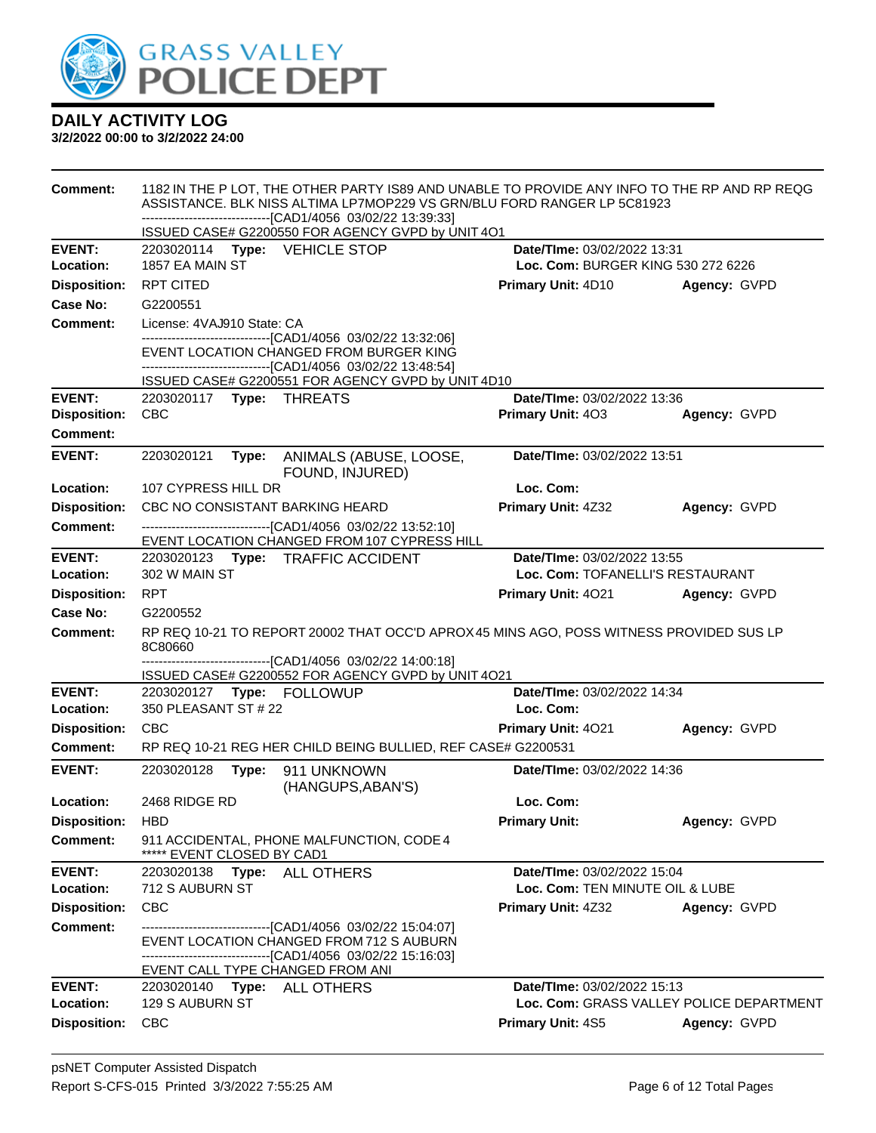

| Comment:            | 1182 IN THE P LOT, THE OTHER PARTY IS89 AND UNABLE TO PROVIDE ANY INFO TO THE RP AND RP REQG<br>ASSISTANCE. BLK NISS ALTIMA LP7MOP229 VS GRN/BLU FORD RANGER LP 5C81923<br>-------------------------------[CAD1/4056 03/02/22 13:39:33] |                                                                                                                                                         |                                    |                                          |  |
|---------------------|-----------------------------------------------------------------------------------------------------------------------------------------------------------------------------------------------------------------------------------------|---------------------------------------------------------------------------------------------------------------------------------------------------------|------------------------------------|------------------------------------------|--|
|                     |                                                                                                                                                                                                                                         | ISSUED CASE# G2200550 FOR AGENCY GVPD by UNIT 4O1                                                                                                       |                                    |                                          |  |
| <b>EVENT:</b>       | 2203020114 Type: VEHICLE STOP                                                                                                                                                                                                           |                                                                                                                                                         | Date/TIme: 03/02/2022 13:31        |                                          |  |
| Location:           | 1857 EA MAIN ST                                                                                                                                                                                                                         |                                                                                                                                                         | Loc. Com: BURGER KING 530 272 6226 |                                          |  |
| <b>Disposition:</b> | <b>RPT CITED</b>                                                                                                                                                                                                                        |                                                                                                                                                         | <b>Primary Unit: 4D10</b>          | Agency: GVPD                             |  |
| Case No:            | G2200551                                                                                                                                                                                                                                |                                                                                                                                                         |                                    |                                          |  |
| <b>Comment:</b>     | License: 4VAJ910 State: CA                                                                                                                                                                                                              |                                                                                                                                                         |                                    |                                          |  |
|                     |                                                                                                                                                                                                                                         | -------------------------------[CAD1/4056_03/02/22 13:32:06]<br>EVENT LOCATION CHANGED FROM BURGER KING                                                 |                                    |                                          |  |
|                     |                                                                                                                                                                                                                                         | -------------------------------[CAD1/4056 03/02/22 13:48:54]<br>ISSUED CASE# G2200551 FOR AGENCY GVPD by UNIT 4D10                                      |                                    |                                          |  |
| <b>EVENT:</b>       |                                                                                                                                                                                                                                         |                                                                                                                                                         | Date/TIme: 03/02/2022 13:36        |                                          |  |
| <b>Disposition:</b> | <b>CBC</b>                                                                                                                                                                                                                              |                                                                                                                                                         | Primary Unit: 403                  | Agency: GVPD                             |  |
| <b>Comment:</b>     |                                                                                                                                                                                                                                         |                                                                                                                                                         |                                    |                                          |  |
| <b>EVENT:</b>       | 2203020121                                                                                                                                                                                                                              | Type: ANIMALS (ABUSE, LOOSE,<br>FOUND, INJURED)                                                                                                         | Date/TIme: 03/02/2022 13:51        |                                          |  |
| Location:           | 107 CYPRESS HILL DR                                                                                                                                                                                                                     |                                                                                                                                                         | Loc. Com:                          |                                          |  |
| <b>Disposition:</b> | CBC NO CONSISTANT BARKING HEARD                                                                                                                                                                                                         |                                                                                                                                                         | <b>Primary Unit: 4Z32</b>          | Agency: GVPD                             |  |
| <b>Comment:</b>     |                                                                                                                                                                                                                                         | -------------------------------[CAD1/4056 03/02/22 13:52:10]                                                                                            |                                    |                                          |  |
|                     |                                                                                                                                                                                                                                         | EVENT LOCATION CHANGED FROM 107 CYPRESS HILL                                                                                                            |                                    |                                          |  |
| <b>EVENT:</b>       | Date/TIme: 03/02/2022 13:55<br>2203020123 Type: TRAFFIC ACCIDENT                                                                                                                                                                        |                                                                                                                                                         |                                    |                                          |  |
| Location:           | 302 W MAIN ST                                                                                                                                                                                                                           |                                                                                                                                                         | Loc. Com: TOFANELLI'S RESTAURANT   |                                          |  |
| <b>Disposition:</b> | <b>RPT</b>                                                                                                                                                                                                                              |                                                                                                                                                         | <b>Primary Unit: 4021</b>          | Agency: GVPD                             |  |
| Case No:            | G2200552                                                                                                                                                                                                                                |                                                                                                                                                         |                                    |                                          |  |
| <b>Comment:</b>     | 8C80660                                                                                                                                                                                                                                 | RP REQ 10-21 TO REPORT 20002 THAT OCC'D APROX 45 MINS AGO, POSS WITNESS PROVIDED SUS LP<br>-------------------------------[CAD1/4056 03/02/22 14:00:18] |                                    |                                          |  |
|                     |                                                                                                                                                                                                                                         | ISSUED CASE# G2200552 FOR AGENCY GVPD by UNIT 4O21                                                                                                      |                                    |                                          |  |
| <b>EVENT:</b>       |                                                                                                                                                                                                                                         |                                                                                                                                                         | Date/TIme: 03/02/2022 14:34        |                                          |  |
| Location:           | 350 PLEASANT ST # 22                                                                                                                                                                                                                    |                                                                                                                                                         | Loc. Com:                          |                                          |  |
| <b>Disposition:</b> | <b>CBC</b>                                                                                                                                                                                                                              |                                                                                                                                                         | <b>Primary Unit: 4021</b>          | Agency: GVPD                             |  |
| <b>Comment:</b>     |                                                                                                                                                                                                                                         | RP REQ 10-21 REG HER CHILD BEING BULLIED, REF CASE# G2200531                                                                                            |                                    |                                          |  |
| <b>EVENT:</b>       | 2203020128<br>Type:                                                                                                                                                                                                                     | 911 UNKNOWN<br>(HANGUPS, ABAN'S)                                                                                                                        | Date/TIme: 03/02/2022 14:36        |                                          |  |
| Location:           | 2468 RIDGE RD                                                                                                                                                                                                                           |                                                                                                                                                         | Loc. Com:                          |                                          |  |
| <b>Disposition:</b> | HBD                                                                                                                                                                                                                                     |                                                                                                                                                         | <b>Primary Unit:</b>               | Agency: GVPD                             |  |
| Comment:            | ***** EVENT CLOSED BY CAD1                                                                                                                                                                                                              | 911 ACCIDENTAL, PHONE MALFUNCTION, CODE 4                                                                                                               |                                    |                                          |  |
| <b>EVENT:</b>       | 2203020138 Type: ALL OTHERS                                                                                                                                                                                                             |                                                                                                                                                         | Date/TIme: 03/02/2022 15:04        |                                          |  |
| Location:           | 712 S AUBURN ST                                                                                                                                                                                                                         |                                                                                                                                                         | Loc. Com: TEN MINUTE OIL & LUBE    |                                          |  |
| <b>Disposition:</b> | CBC                                                                                                                                                                                                                                     |                                                                                                                                                         | <b>Primary Unit: 4Z32</b>          | Agency: GVPD                             |  |
| Comment:            |                                                                                                                                                                                                                                         | ----------------------------------[CAD1/4056 03/02/22 15:04:07]                                                                                         |                                    |                                          |  |
|                     |                                                                                                                                                                                                                                         | EVENT LOCATION CHANGED FROM 712 S AUBURN                                                                                                                |                                    |                                          |  |
|                     | EVENT CALL TYPE CHANGED FROM ANI                                                                                                                                                                                                        | --------------------------------[CAD1/4056 03/02/22 15:16:03]                                                                                           |                                    |                                          |  |
| <b>EVENT:</b>       | 2203020140 Type: ALL OTHERS                                                                                                                                                                                                             |                                                                                                                                                         | Date/TIme: 03/02/2022 15:13        |                                          |  |
| Location:           | 129 S AUBURN ST                                                                                                                                                                                                                         |                                                                                                                                                         |                                    | Loc. Com: GRASS VALLEY POLICE DEPARTMENT |  |
| <b>Disposition:</b> | <b>CBC</b>                                                                                                                                                                                                                              |                                                                                                                                                         | Primary Unit: 4S5                  | Agency: GVPD                             |  |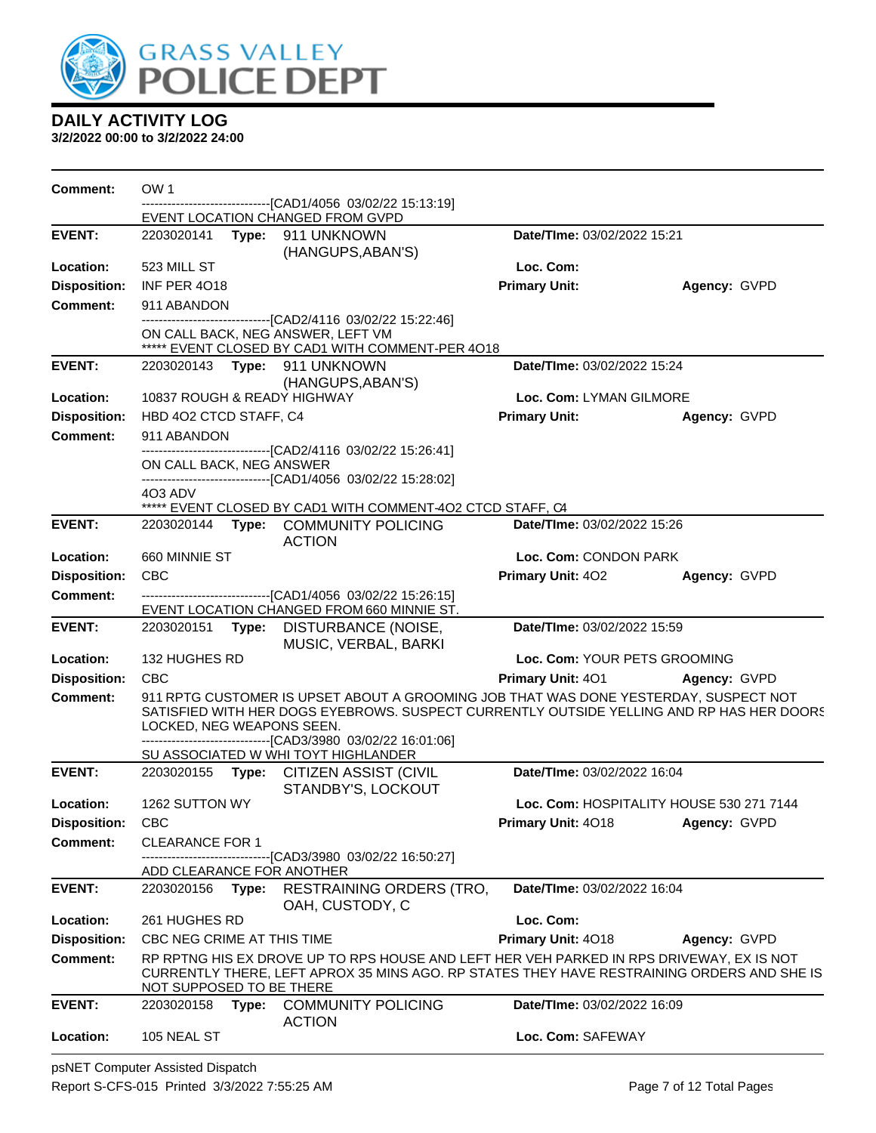

**3/2/2022 00:00 to 3/2/2022 24:00**

| <b>Comment:</b>     | OW 1                       |       |                                                                                                                                                                                        |                              |                                          |
|---------------------|----------------------------|-------|----------------------------------------------------------------------------------------------------------------------------------------------------------------------------------------|------------------------------|------------------------------------------|
|                     |                            |       | -----------------[CAD1/4056_03/02/22 15:13:19]<br>EVENT LOCATION CHANGED FROM GVPD                                                                                                     |                              |                                          |
| <b>EVENT:</b>       |                            |       | 2203020141 Type: 911 UNKNOWN<br>(HANGUPS, ABAN'S)                                                                                                                                      | Date/TIme: 03/02/2022 15:21  |                                          |
| Location:           | 523 MILL ST                |       |                                                                                                                                                                                        | Loc. Com:                    |                                          |
| <b>Disposition:</b> | INF PER 4018               |       |                                                                                                                                                                                        | <b>Primary Unit:</b>         | Agency: GVPD                             |
| <b>Comment:</b>     | 911 ABANDON                |       |                                                                                                                                                                                        |                              |                                          |
|                     |                            |       | ----------------[CAD2/4116_03/02/22 15:22:46]<br>ON CALL BACK, NEG ANSWER, LEFT VM<br>***** EVENT CLOSED BY CAD1 WITH COMMENT-PER 4018                                                 |                              |                                          |
| <b>EVENT:</b>       |                            |       | 2203020143    Type: 911    UNKNOWN<br>(HANGUPS, ABAN'S)                                                                                                                                | Date/TIme: 03/02/2022 15:24  |                                          |
| Location:           |                            |       | 10837 ROUGH & READY HIGHWAY                                                                                                                                                            | Loc. Com: LYMAN GILMORE      |                                          |
| <b>Disposition:</b> | HBD 4O2 CTCD STAFF, C4     |       |                                                                                                                                                                                        | <b>Primary Unit:</b>         | Agency: GVPD                             |
| <b>Comment:</b>     | 911 ABANDON                |       |                                                                                                                                                                                        |                              |                                          |
|                     | ON CALL BACK, NEG ANSWER   |       | -------------------------------[CAD2/4116 03/02/22 15:26:41]<br>-------------------------------[CAD1/4056 03/02/22 15:28:02]                                                           |                              |                                          |
|                     | 4O3 ADV                    |       |                                                                                                                                                                                        |                              |                                          |
| <b>EVENT:</b>       |                            |       | ***** EVENT CLOSED BY CAD1 WITH COMMENT-402 CTCD STAFF, C4<br>2203020144 Type: COMMUNITY POLICING                                                                                      | Date/TIme: 03/02/2022 15:26  |                                          |
|                     |                            |       | <b>ACTION</b>                                                                                                                                                                          |                              |                                          |
| Location:           | 660 MINNIE ST              |       |                                                                                                                                                                                        | Loc. Com: CONDON PARK        |                                          |
| <b>Disposition:</b> | <b>CBC</b>                 |       |                                                                                                                                                                                        | Primary Unit: 402            | Agency: GVPD                             |
| <b>Comment:</b>     |                            |       | -------------------------------[CAD1/4056_03/02/22_15:26:15]<br>EVENT LOCATION CHANGED FROM 660 MINNIE ST.                                                                             |                              |                                          |
| <b>EVENT:</b>       | 2203020151                 | Type: | DISTURBANCE (NOISE,<br>MUSIC, VERBAL, BARKI                                                                                                                                            | Date/TIme: 03/02/2022 15:59  |                                          |
| Location:           | 132 HUGHES RD              |       |                                                                                                                                                                                        | Loc. Com: YOUR PETS GROOMING |                                          |
| <b>Disposition:</b> | <b>CBC</b>                 |       |                                                                                                                                                                                        | Primary Unit: 401            | Agency: GVPD                             |
| <b>Comment:</b>     | LOCKED, NEG WEAPONS SEEN.  |       | 911 RPTG CUSTOMER IS UPSET ABOUT A GROOMING JOB THAT WAS DONE YESTERDAY, SUSPECT NOT<br>SATISFIED WITH HER DOGS EYEBROWS. SUSPECT CURRENTLY OUTSIDE YELLING AND RP HAS HER DOORS       |                              |                                          |
|                     |                            |       | -------------------------------[CAD3/3980_03/02/22 16:01:06]<br>SU ASSOCIATED W WHI TOYT HIGHLANDER                                                                                    |                              |                                          |
| <b>EVENT:</b>       |                            |       | 2203020155 Type: CITIZEN ASSIST (CIVIL<br>STANDBY'S, LOCKOUT                                                                                                                           | Date/TIme: 03/02/2022 16:04  |                                          |
| Location:           | 1262 SUTTON WY             |       |                                                                                                                                                                                        |                              | Loc. Com: HOSPITALITY HOUSE 530 271 7144 |
| <b>Disposition:</b> | <b>CBC</b>                 |       |                                                                                                                                                                                        | Primary Unit: 4018           | Agency: GVPD                             |
| <b>Comment:</b>     | <b>CLEARANCE FOR 1</b>     |       |                                                                                                                                                                                        |                              |                                          |
|                     | ADD CLEARANCE FOR ANOTHER  |       | ------[CAD3/3980 03/02/22 16:50:27]                                                                                                                                                    |                              |                                          |
| <b>EVENT:</b>       | 2203020156                 | Type: | <b>RESTRAINING ORDERS (TRO,</b><br>OAH, CUSTODY, C                                                                                                                                     | Date/TIme: 03/02/2022 16:04  |                                          |
| Location:           | 261 HUGHES RD              |       |                                                                                                                                                                                        | Loc. Com:                    |                                          |
| <b>Disposition:</b> | CBC NEG CRIME AT THIS TIME |       |                                                                                                                                                                                        | Primary Unit: 4018           | Agency: GVPD                             |
| <b>Comment:</b>     | NOT SUPPOSED TO BE THERE   |       | RP RPTNG HIS EX DROVE UP TO RPS HOUSE AND LEFT HER VEH PARKED IN RPS DRIVEWAY, EX IS NOT<br>CURRENTLY THERE, LEFT APROX 35 MINS AGO. RP STATES THEY HAVE RESTRAINING ORDERS AND SHE IS |                              |                                          |
| <b>EVENT:</b>       | 2203020158 Type:           |       | <b>COMMUNITY POLICING</b><br><b>ACTION</b>                                                                                                                                             | Date/TIme: 03/02/2022 16:09  |                                          |
| Location:           | 105 NEAL ST                |       |                                                                                                                                                                                        | Loc. Com: SAFEWAY            |                                          |

psNET Computer Assisted Dispatch Report S-CFS-015 Printed 3/3/2022 7:55:25 AM Page 7 of 12 Total Pages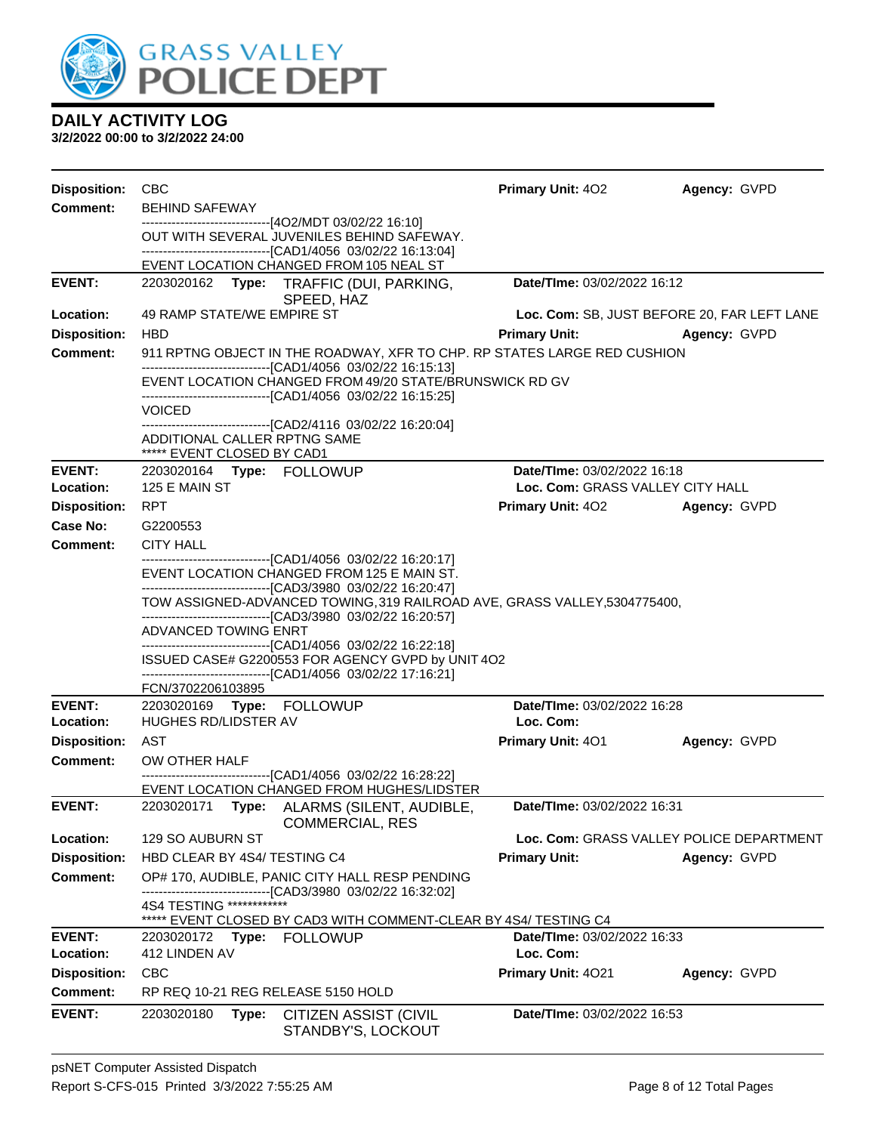

| <b>Disposition:</b> | <b>CBC</b>                                                                                                                                                               | <b>Primary Unit: 402</b>         | Agency: GVPD                                |  |  |
|---------------------|--------------------------------------------------------------------------------------------------------------------------------------------------------------------------|----------------------------------|---------------------------------------------|--|--|
| <b>Comment:</b>     | <b>BEHIND SAFEWAY</b>                                                                                                                                                    |                                  |                                             |  |  |
|                     | ---------------------------------[4O2/MDT 03/02/22 16:10]<br>OUT WITH SEVERAL JUVENILES BEHIND SAFEWAY.<br>--------------------------------[CAD1/4056 03/02/22 16:13:04] |                                  |                                             |  |  |
|                     | EVENT LOCATION CHANGED FROM 105 NEAL ST                                                                                                                                  |                                  |                                             |  |  |
| <b>EVENT:</b>       | 2203020162 Type: TRAFFIC (DUI, PARKING,<br>SPEED, HAZ                                                                                                                    | Date/TIme: 03/02/2022 16:12      |                                             |  |  |
| Location:           | 49 RAMP STATE/WE EMPIRE ST                                                                                                                                               |                                  | Loc. Com: SB, JUST BEFORE 20, FAR LEFT LANE |  |  |
| <b>Disposition:</b> | <b>HBD</b>                                                                                                                                                               | <b>Primary Unit:</b>             | Agency: GVPD                                |  |  |
| <b>Comment:</b>     | 911 RPTNG OBJECT IN THE ROADWAY, XFR TO CHP. RP STATES LARGE RED CUSHION<br>--------------------------------[CAD1/4056 03/02/22 16:15:13]                                |                                  |                                             |  |  |
|                     | EVENT LOCATION CHANGED FROM 49/20 STATE/BRUNSWICK RD GV<br>-------------------------------[CAD1/4056 03/02/22 16:15:25]                                                  |                                  |                                             |  |  |
|                     | <b>VOICED</b>                                                                                                                                                            |                                  |                                             |  |  |
|                     | -------------------------------[CAD2/4116 03/02/22 16:20:04]<br>ADDITIONAL CALLER RPTNG SAME<br>***** EVENT CLOSED BY CAD1                                               |                                  |                                             |  |  |
| <b>EVENT:</b>       | 2203020164 Type: FOLLOWUP                                                                                                                                                | Date/TIme: 03/02/2022 16:18      |                                             |  |  |
| Location:           | 125 E MAIN ST                                                                                                                                                            | Loc. Com: GRASS VALLEY CITY HALL |                                             |  |  |
| <b>Disposition:</b> | <b>RPT</b>                                                                                                                                                               | Primary Unit: 402 Agency: GVPD   |                                             |  |  |
| Case No:            | G2200553                                                                                                                                                                 |                                  |                                             |  |  |
| Comment:            | <b>CITY HALL</b><br>------------------------------[CAD1/4056 03/02/22 16:20:17]                                                                                          |                                  |                                             |  |  |
|                     | EVENT LOCATION CHANGED FROM 125 E MAIN ST.<br>--------------------------------[CAD3/3980 03/02/22 16:20:47]                                                              |                                  |                                             |  |  |
|                     | TOW ASSIGNED-ADVANCED TOWING, 319 RAILROAD AVE, GRASS VALLEY, 5304775400,                                                                                                |                                  |                                             |  |  |
|                     | ---------------------------------[CAD3/3980 03/02/22 16:20:57]<br>ADVANCED TOWING ENRT                                                                                   |                                  |                                             |  |  |
|                     | --------------------------------[CAD1/4056 03/02/22 16:22:18]<br>ISSUED CASE# G2200553 FOR AGENCY GVPD by UNIT 4O2                                                       |                                  |                                             |  |  |
|                     | --------------------------------[CAD1/4056 03/02/22 17:16:21]<br>FCN/3702206103895                                                                                       |                                  |                                             |  |  |
| <b>EVENT:</b>       |                                                                                                                                                                          | Date/TIme: 03/02/2022 16:28      |                                             |  |  |
| Location:           | <b>HUGHES RD/LIDSTER AV</b>                                                                                                                                              | Loc. Com:                        |                                             |  |  |
| <b>Disposition:</b> | AST                                                                                                                                                                      | <b>Primary Unit: 401</b>         | Agency: GVPD                                |  |  |
| <b>Comment:</b>     | OW OTHER HALF                                                                                                                                                            |                                  |                                             |  |  |
|                     | -------------------------------[CAD1/4056 03/02/22 16:28:22]<br>EVENT LOCATION CHANGED FROM HUGHES/LIDSTER                                                               |                                  |                                             |  |  |
| <b>EVENT:</b>       | Type: ALARMS (SILENT, AUDIBLE,<br>2203020171                                                                                                                             | Date/TIme: 03/02/2022 16:31      |                                             |  |  |
| Location:           | <b>COMMERCIAL, RES</b><br>129 SO AUBURN ST                                                                                                                               |                                  | Loc. Com: GRASS VALLEY POLICE DEPARTMENT    |  |  |
| <b>Disposition:</b> | HBD CLEAR BY 4S4/ TESTING C4                                                                                                                                             | <b>Primary Unit:</b>             | Agency: GVPD                                |  |  |
| <b>Comment:</b>     | OP# 170, AUDIBLE, PANIC CITY HALL RESP PENDING                                                                                                                           |                                  |                                             |  |  |
|                     | ------------------------[CAD3/3980_03/02/22 16:32:02]<br>4S4 TESTING *************<br>EVENT CLOSED BY CAD3 WITH COMMENT-CLEAR BY 4S4/ TESTING C4                         |                                  |                                             |  |  |
| <b>EVENT:</b>       | <b>FOLLOWUP</b><br>2203020172<br>Type:                                                                                                                                   | Date/TIme: 03/02/2022 16:33      |                                             |  |  |
| Location:           | 412 LINDEN AV                                                                                                                                                            | Loc. Com:                        |                                             |  |  |
| <b>Disposition:</b> | CBC                                                                                                                                                                      | Primary Unit: 4021               | Agency: GVPD                                |  |  |
| <b>Comment:</b>     | RP REQ 10-21 REG RELEASE 5150 HOLD                                                                                                                                       |                                  |                                             |  |  |
| <b>EVENT:</b>       | 2203020180<br>Type:<br><b>CITIZEN ASSIST (CIVIL</b><br>STANDBY'S, LOCKOUT                                                                                                | Date/TIme: 03/02/2022 16:53      |                                             |  |  |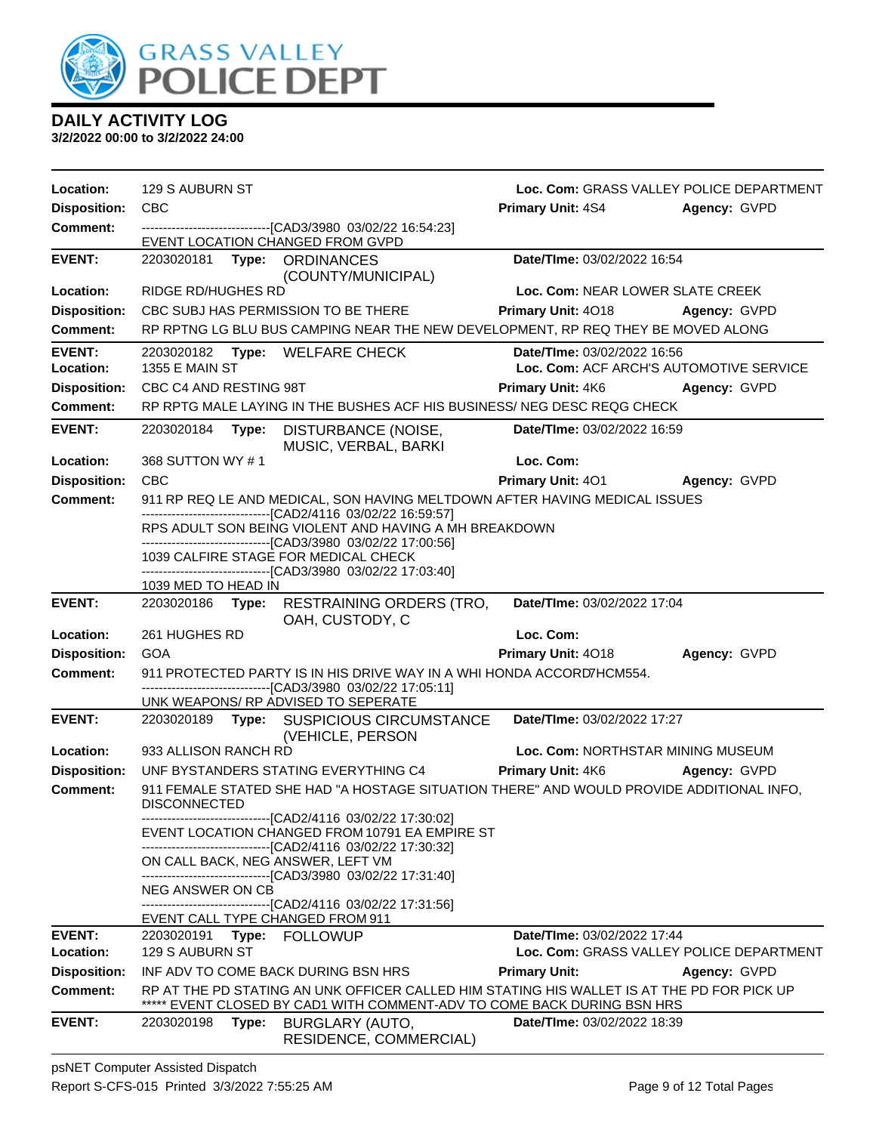

| Location:                  | 129 S AUBURN ST                                                                                                                                                      | Loc. Com: GRASS VALLEY POLICE DEPARTMENT                               |                     |
|----------------------------|----------------------------------------------------------------------------------------------------------------------------------------------------------------------|------------------------------------------------------------------------|---------------------|
| <b>Disposition:</b>        | <b>CBC</b>                                                                                                                                                           | <b>Primary Unit: 4S4</b>                                               | Agency: GVPD        |
| <b>Comment:</b>            | --------------------------------[CAD3/3980 03/02/22 16:54:23]<br>EVENT LOCATION CHANGED FROM GVPD                                                                    |                                                                        |                     |
| <b>EVENT:</b>              | (COUNTY/MUNICIPAL)                                                                                                                                                   | Date/TIme: 03/02/2022 16:54                                            |                     |
| Location:                  | RIDGE RD/HUGHES RD                                                                                                                                                   | Loc. Com: NEAR LOWER SLATE CREEK                                       |                     |
| <b>Disposition:</b>        | CBC SUBJ HAS PERMISSION TO BE THERE                                                                                                                                  | Primary Unit: 4018                                                     | Agency: GVPD        |
| <b>Comment:</b>            | RP RPTNG LG BLU BUS CAMPING NEAR THE NEW DEVELOPMENT, RP REQ THEY BE MOVED ALONG                                                                                     |                                                                        |                     |
| <b>EVENT:</b><br>Location: | Type: WELFARE CHECK<br>2203020182<br><b>1355 E MAIN ST</b>                                                                                                           | Date/TIme: 03/02/2022 16:56<br>Loc. Com: ACF ARCH'S AUTOMOTIVE SERVICE |                     |
| <b>Disposition:</b>        | CBC C4 AND RESTING 98T                                                                                                                                               | <b>Primary Unit: 4K6</b>                                               | Agency: GVPD        |
| <b>Comment:</b>            | RP RPTG MALE LAYING IN THE BUSHES ACF HIS BUSINESS/ NEG DESC REQG CHECK                                                                                              |                                                                        |                     |
| <b>EVENT:</b>              | 2203020184<br>DISTURBANCE (NOISE,<br>Type:<br>MUSIC, VERBAL, BARKI                                                                                                   | Date/TIme: 03/02/2022 16:59                                            |                     |
| Location:                  | 368 SUTTON WY #1                                                                                                                                                     | Loc. Com:                                                              |                     |
| <b>Disposition:</b>        | <b>CBC</b>                                                                                                                                                           | <b>Primary Unit: 401</b>                                               | Agency: GVPD        |
| <b>Comment:</b>            | 911 RP REQ LE AND MEDICAL, SON HAVING MELTDOWN AFTER HAVING MEDICAL ISSUES                                                                                           |                                                                        |                     |
|                            | -------------------------[CAD2/4116 03/02/22 16:59:57]<br>RPS ADULT SON BEING VIOLENT AND HAVING A MH BREAKDOWN                                                      |                                                                        |                     |
|                            | -------------------------------[CAD3/3980_03/02/22_17:00:56]                                                                                                         |                                                                        |                     |
|                            | 1039 CALFIRE STAGE FOR MEDICAL CHECK<br>-------------------------------[CAD3/3980_03/02/22_17:03:40]                                                                 |                                                                        |                     |
|                            | 1039 MED TO HEAD IN                                                                                                                                                  |                                                                        |                     |
| <b>EVENT:</b>              | 2203020186 Type: RESTRAINING ORDERS (TRO,<br>OAH, CUSTODY, C                                                                                                         | Date/TIme: 03/02/2022 17:04                                            |                     |
| Location:                  | 261 HUGHES RD                                                                                                                                                        | Loc. Com:                                                              |                     |
| <b>Disposition:</b>        | <b>GOA</b>                                                                                                                                                           | Primary Unit: 4018                                                     | Agency: GVPD        |
| <b>Comment:</b>            | 911 PROTECTED PARTY IS IN HIS DRIVE WAY IN A WHI HONDA ACCORD7HCM554.<br>-------------------------------[CAD3/3980 03/02/22 17:05:11]                                |                                                                        |                     |
|                            | UNK WEAPONS/ RP ADVISED TO SEPERATE                                                                                                                                  |                                                                        |                     |
| <b>EVENT:</b>              | 2203020189 Type: SUSPICIOUS CIRCUMSTANCE<br>(VEHICLE, PERSON                                                                                                         | Date/TIme: 03/02/2022 17:27                                            |                     |
| Location:                  | 933 ALLISON RANCH RD                                                                                                                                                 | Loc. Com: NORTHSTAR MINING MUSEUM                                      |                     |
| <b>Disposition:</b>        | UNF BYSTANDERS STATING EVERYTHING C4                                                                                                                                 | Primary Unit: 4K6                                                      | <b>Agency: GVPD</b> |
| <b>Comment:</b>            | 911 FEMALE STATED SHE HAD "A HOSTAGE SITUATION THERE" AND WOULD PROVIDE ADDITIONAL INFO,<br><b>DISCONNECTED</b>                                                      |                                                                        |                     |
|                            | ---------------------[CAD2/4116 03/02/22 17:30:02]<br>EVENT LOCATION CHANGED FROM 10791 EA EMPIRE ST<br>-------------------------------[CAD2/4116 03/02/22 17:30:32] |                                                                        |                     |
|                            | ON CALL BACK, NEG ANSWER, LEFT VM<br>-------------------------------[CAD3/3980 03/02/22 17:31:40]                                                                    |                                                                        |                     |
|                            | <b>NEG ANSWER ON CB</b>                                                                                                                                              |                                                                        |                     |
|                            | -------------------------------[CAD2/4116 03/02/22 17:31:56]<br>EVENT CALL TYPE CHANGED FROM 911                                                                     |                                                                        |                     |
| <b>EVENT:</b>              | Type: FOLLOWUP<br>2203020191                                                                                                                                         | Date/TIme: 03/02/2022 17:44                                            |                     |
| Location:                  | 129 S AUBURN ST                                                                                                                                                      | Loc. Com: GRASS VALLEY POLICE DEPARTMENT                               |                     |
| <b>Disposition:</b>        | INF ADV TO COME BACK DURING BSN HRS                                                                                                                                  | <b>Primary Unit:</b>                                                   | Agency: GVPD        |
| <b>Comment:</b>            | RP AT THE PD STATING AN UNK OFFICER CALLED HIM STATING HIS WALLET IS AT THE PD FOR PICK UP<br>EVENT CLOSED BY CAD1 WITH COMMENT-ADV TO COME BACK DURING BSN HRS      |                                                                        |                     |
| <b>EVENT:</b>              | 2203020198<br>Type:<br>BURGLARY (AUTO,<br>RESIDENCE, COMMERCIAL)                                                                                                     | Date/TIme: 03/02/2022 18:39                                            |                     |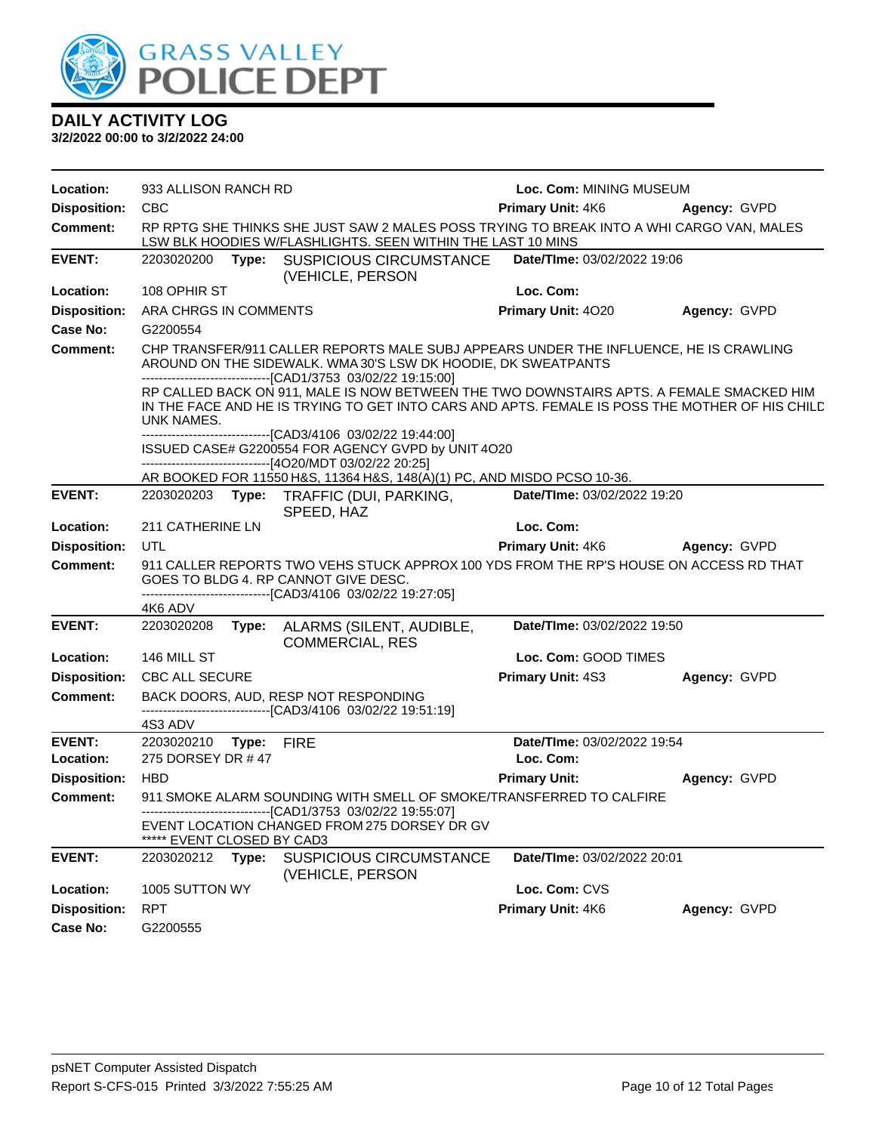

| Location:           | 933 ALLISON RANCH RD                                                                                                                                                                                                                                                                                                                                                                                                               |       |                                                                                                                                                         | Loc. Com: MINING MUSEUM        |              |
|---------------------|------------------------------------------------------------------------------------------------------------------------------------------------------------------------------------------------------------------------------------------------------------------------------------------------------------------------------------------------------------------------------------------------------------------------------------|-------|---------------------------------------------------------------------------------------------------------------------------------------------------------|--------------------------------|--------------|
| <b>Disposition:</b> | <b>CBC</b>                                                                                                                                                                                                                                                                                                                                                                                                                         |       |                                                                                                                                                         | Primary Unit: 4K6              | Agency: GVPD |
| <b>Comment:</b>     |                                                                                                                                                                                                                                                                                                                                                                                                                                    |       | RP RPTG SHE THINKS SHE JUST SAW 2 MALES POSS TRYING TO BREAK INTO A WHI CARGO VAN, MALES<br>LSW BLK HOODIES W/FLASHLIGHTS. SEEN WITHIN THE LAST 10 MINS |                                |              |
| <b>EVENT:</b>       |                                                                                                                                                                                                                                                                                                                                                                                                                                    |       | 2203020200 Type: SUSPICIOUS CIRCUMSTANCE<br>(VEHICLE, PERSON                                                                                            | Date/TIme: 03/02/2022 19:06    |              |
| Location:           | 108 OPHIR ST                                                                                                                                                                                                                                                                                                                                                                                                                       |       |                                                                                                                                                         | Loc. Com:                      |              |
| <b>Disposition:</b> | ARA CHRGS IN COMMENTS                                                                                                                                                                                                                                                                                                                                                                                                              |       |                                                                                                                                                         | Primary Unit: 4020             | Agency: GVPD |
| Case No:            | G2200554                                                                                                                                                                                                                                                                                                                                                                                                                           |       |                                                                                                                                                         |                                |              |
| <b>Comment:</b>     | CHP TRANSFER/911 CALLER REPORTS MALE SUBJ APPEARS UNDER THE INFLUENCE, HE IS CRAWLING<br>AROUND ON THE SIDEWALK. WMA 30'S LSW DK HOODIE, DK SWEATPANTS<br>-------------------------------[CAD1/3753 03/02/22 19:15:00]<br>RP CALLED BACK ON 911, MALE IS NOW BETWEEN THE TWO DOWNSTAIRS APTS. A FEMALE SMACKED HIM<br>IN THE FACE AND HE IS TRYING TO GET INTO CARS AND APTS. FEMALE IS POSS THE MOTHER OF HIS CHILD<br>UNK NAMES. |       |                                                                                                                                                         |                                |              |
|                     |                                                                                                                                                                                                                                                                                                                                                                                                                                    |       |                                                                                                                                                         |                                |              |
|                     |                                                                                                                                                                                                                                                                                                                                                                                                                                    |       | -------------------------------[CAD3/4106 03/02/22 19:44:00]<br>ISSUED CASE# G2200554 FOR AGENCY GVPD by UNIT 4O20                                      |                                |              |
|                     |                                                                                                                                                                                                                                                                                                                                                                                                                                    |       | ---------------------------------[4O20/MDT 03/02/22 20:25]                                                                                              |                                |              |
|                     |                                                                                                                                                                                                                                                                                                                                                                                                                                    |       | AR BOOKED FOR 11550 H&S, 11364 H&S, 148(A)(1) PC, AND MISDO PCSO 10-36.                                                                                 |                                |              |
| <b>EVENT:</b>       |                                                                                                                                                                                                                                                                                                                                                                                                                                    |       | 2203020203 Type: TRAFFIC (DUI, PARKING,<br>SPEED, HAZ                                                                                                   | Date/TIme: 03/02/2022 19:20    |              |
| Location:           | 211 CATHERINE LN                                                                                                                                                                                                                                                                                                                                                                                                                   |       |                                                                                                                                                         | Loc. Com:                      |              |
| <b>Disposition:</b> | UTL                                                                                                                                                                                                                                                                                                                                                                                                                                |       |                                                                                                                                                         | Primary Unit: 4K6 Agency: GVPD |              |
| <b>Comment:</b>     |                                                                                                                                                                                                                                                                                                                                                                                                                                    |       | 911 CALLER REPORTS TWO VEHS STUCK APPROX 100 YDS FROM THE RP'S HOUSE ON ACCESS RD THAT                                                                  |                                |              |
|                     |                                                                                                                                                                                                                                                                                                                                                                                                                                    |       | GOES TO BLDG 4. RP CANNOT GIVE DESC.<br>-------------------------------[CAD3/4106 03/02/22 19:27:05]                                                    |                                |              |
|                     | 4K6 ADV                                                                                                                                                                                                                                                                                                                                                                                                                            |       |                                                                                                                                                         |                                |              |
| <b>EVENT:</b>       | 2203020208                                                                                                                                                                                                                                                                                                                                                                                                                         | Type: | ALARMS (SILENT, AUDIBLE,<br><b>COMMERCIAL, RES</b>                                                                                                      | Date/TIme: 03/02/2022 19:50    |              |
| Location:           | 146 MILL ST                                                                                                                                                                                                                                                                                                                                                                                                                        |       |                                                                                                                                                         | Loc. Com: GOOD TIMES           |              |
| <b>Disposition:</b> | <b>CBC ALL SECURE</b>                                                                                                                                                                                                                                                                                                                                                                                                              |       |                                                                                                                                                         | Primary Unit: 4S3              | Agency: GVPD |
| <b>Comment:</b>     |                                                                                                                                                                                                                                                                                                                                                                                                                                    |       | BACK DOORS, AUD, RESP NOT RESPONDING                                                                                                                    |                                |              |
|                     | 4S3 ADV                                                                                                                                                                                                                                                                                                                                                                                                                            |       | -------------------------------[CAD3/4106 03/02/22 19:51:19]                                                                                            |                                |              |
| <b>EVENT:</b>       | 2203020210 Type: FIRE                                                                                                                                                                                                                                                                                                                                                                                                              |       |                                                                                                                                                         | Date/TIme: 03/02/2022 19:54    |              |
| Location:           | 275 DORSEY DR #47                                                                                                                                                                                                                                                                                                                                                                                                                  |       |                                                                                                                                                         | Loc. Com:                      |              |
| <b>Disposition:</b> | <b>HBD</b>                                                                                                                                                                                                                                                                                                                                                                                                                         |       |                                                                                                                                                         | <b>Primary Unit:</b>           | Agency: GVPD |
| <b>Comment:</b>     |                                                                                                                                                                                                                                                                                                                                                                                                                                    |       | 911 SMOKE ALARM SOUNDING WITH SMELL OF SMOKE/TRANSFERRED TO CALFIRE                                                                                     |                                |              |
|                     | EVENT CLOSED BY CAD3                                                                                                                                                                                                                                                                                                                                                                                                               |       | -------------------------------[CAD1/3753 03/02/22 19:55:07]<br>EVENT LOCATION CHANGED FROM 275 DORSEY DR GV                                            |                                |              |
| <b>EVENT:</b>       | 2203020212                                                                                                                                                                                                                                                                                                                                                                                                                         | Type: | <b>SUSPICIOUS CIRCUMSTANCE</b><br>(VEHICLE, PERSON                                                                                                      | Date/TIme: 03/02/2022 20:01    |              |
| Location:           | 1005 SUTTON WY                                                                                                                                                                                                                                                                                                                                                                                                                     |       |                                                                                                                                                         | Loc. Com: CVS                  |              |
| <b>Disposition:</b> | <b>RPT</b>                                                                                                                                                                                                                                                                                                                                                                                                                         |       |                                                                                                                                                         | Primary Unit: 4K6              | Agency: GVPD |
| Case No:            | G2200555                                                                                                                                                                                                                                                                                                                                                                                                                           |       |                                                                                                                                                         |                                |              |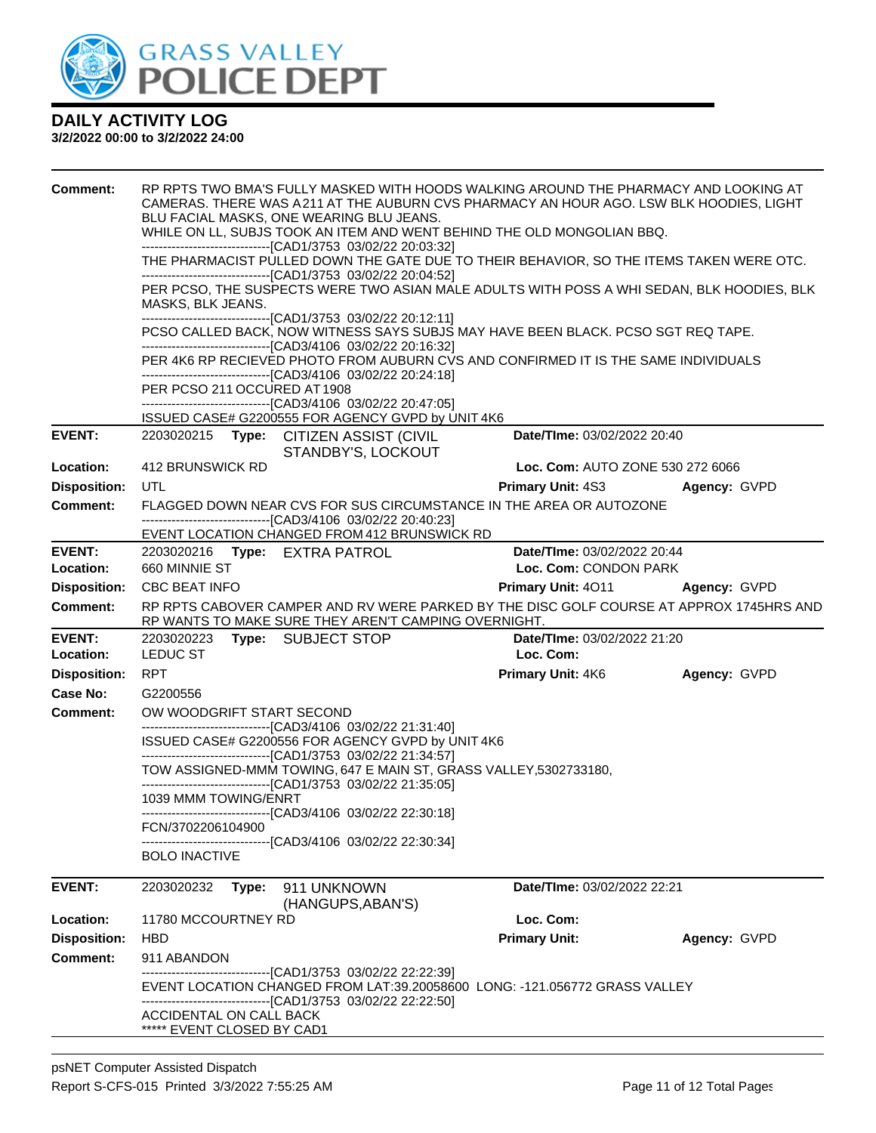

| <b>Comment:</b><br><b>EVENT:</b> | MASKS, BLK JEANS.<br>PER PCSO 211 OCCURED AT 1908     | BLU FACIAL MASKS, ONE WEARING BLU JEANS.<br>-------------------------------[CAD1/3753 03/02/22 20:03:32]<br>------------------------------[CAD1/3753 03/02/22 20:04:52]<br>-------------------------------[CAD1/3753 03/02/22 20:12:11]<br>-------------------------------[CAD3/4106 03/02/22 20:16:32]<br>-------------------------------[CAD3/4106 03/02/22 20:24:18]<br>------------------------------[CAD3/4106 03/02/22 20:47:05]<br>ISSUED CASE# G2200555 FOR AGENCY GVPD by UNIT 4K6<br>2203020215 Type: CITIZEN ASSIST (CIVIL | RP RPTS TWO BMA'S FULLY MASKED WITH HOODS WALKING AROUND THE PHARMACY AND LOOKING AT<br>CAMERAS. THERE WAS A211 AT THE AUBURN CVS PHARMACY AN HOUR AGO. LSW BLK HOODIES, LIGHT<br>WHILE ON LL, SUBJS TOOK AN ITEM AND WENT BEHIND THE OLD MONGOLIAN BBQ.<br>THE PHARMACIST PULLED DOWN THE GATE DUE TO THEIR BEHAVIOR, SO THE ITEMS TAKEN WERE OTC.<br>PER PCSO, THE SUSPECTS WERE TWO ASIAN MALE ADULTS WITH POSS A WHI SEDAN, BLK HOODIES, BLK<br>PCSO CALLED BACK, NOW WITNESS SAYS SUBJS MAY HAVE BEEN BLACK. PCSO SGT REQ TAPE.<br>PER 4K6 RP RECIEVED PHOTO FROM AUBURN CVS AND CONFIRMED IT IS THE SAME INDIVIDUALS<br>Date/TIme: 03/02/2022 20:40 |              |
|----------------------------------|-------------------------------------------------------|---------------------------------------------------------------------------------------------------------------------------------------------------------------------------------------------------------------------------------------------------------------------------------------------------------------------------------------------------------------------------------------------------------------------------------------------------------------------------------------------------------------------------------------|-----------------------------------------------------------------------------------------------------------------------------------------------------------------------------------------------------------------------------------------------------------------------------------------------------------------------------------------------------------------------------------------------------------------------------------------------------------------------------------------------------------------------------------------------------------------------------------------------------------------------------------------------------------|--------------|
|                                  |                                                       | STANDBY'S, LOCKOUT                                                                                                                                                                                                                                                                                                                                                                                                                                                                                                                    |                                                                                                                                                                                                                                                                                                                                                                                                                                                                                                                                                                                                                                                           |              |
| Location:                        | 412 BRUNSWICK RD                                      |                                                                                                                                                                                                                                                                                                                                                                                                                                                                                                                                       | Loc. Com: AUTO ZONE 530 272 6066                                                                                                                                                                                                                                                                                                                                                                                                                                                                                                                                                                                                                          |              |
| <b>Disposition:</b>              | UTL                                                   |                                                                                                                                                                                                                                                                                                                                                                                                                                                                                                                                       | <b>Primary Unit: 4S3</b>                                                                                                                                                                                                                                                                                                                                                                                                                                                                                                                                                                                                                                  | Agency: GVPD |
| <b>Comment:</b>                  |                                                       | -------------------------------[CAD3/4106 03/02/22 20:40:23]                                                                                                                                                                                                                                                                                                                                                                                                                                                                          | FLAGGED DOWN NEAR CVS FOR SUS CIRCUMSTANCE IN THE AREA OR AUTOZONE                                                                                                                                                                                                                                                                                                                                                                                                                                                                                                                                                                                        |              |
|                                  |                                                       | EVENT LOCATION CHANGED FROM 412 BRUNSWICK RD                                                                                                                                                                                                                                                                                                                                                                                                                                                                                          |                                                                                                                                                                                                                                                                                                                                                                                                                                                                                                                                                                                                                                                           |              |
| <b>EVENT:</b>                    | 2203020216 Type: EXTRA PATROL                         |                                                                                                                                                                                                                                                                                                                                                                                                                                                                                                                                       | Date/TIme: 03/02/2022 20:44                                                                                                                                                                                                                                                                                                                                                                                                                                                                                                                                                                                                                               |              |
| Location:                        | 660 MINNIE ST                                         |                                                                                                                                                                                                                                                                                                                                                                                                                                                                                                                                       | Loc. Com: CONDON PARK                                                                                                                                                                                                                                                                                                                                                                                                                                                                                                                                                                                                                                     |              |
| <b>Disposition:</b>              | <b>CBC BEAT INFO</b>                                  |                                                                                                                                                                                                                                                                                                                                                                                                                                                                                                                                       | <b>Primary Unit: 4011 Agency: GVPD</b>                                                                                                                                                                                                                                                                                                                                                                                                                                                                                                                                                                                                                    |              |
| <b>Comment:</b>                  |                                                       | RP WANTS TO MAKE SURE THEY AREN'T CAMPING OVERNIGHT.                                                                                                                                                                                                                                                                                                                                                                                                                                                                                  | RP RPTS CABOVER CAMPER AND RV WERE PARKED BY THE DISC GOLF COURSE AT APPROX 1745HRS AND                                                                                                                                                                                                                                                                                                                                                                                                                                                                                                                                                                   |              |
| <b>EVENT:</b>                    | 2203020223                                            | Type: SUBJECT STOP                                                                                                                                                                                                                                                                                                                                                                                                                                                                                                                    | Date/TIme: 03/02/2022 21:20                                                                                                                                                                                                                                                                                                                                                                                                                                                                                                                                                                                                                               |              |
| Location:                        | LEDUC ST                                              |                                                                                                                                                                                                                                                                                                                                                                                                                                                                                                                                       | Loc. Com:                                                                                                                                                                                                                                                                                                                                                                                                                                                                                                                                                                                                                                                 |              |
| <b>Disposition:</b>              | <b>RPT</b>                                            |                                                                                                                                                                                                                                                                                                                                                                                                                                                                                                                                       | <b>Primary Unit: 4K6</b>                                                                                                                                                                                                                                                                                                                                                                                                                                                                                                                                                                                                                                  | Agency: GVPD |
| <b>Case No:</b>                  | G2200556                                              |                                                                                                                                                                                                                                                                                                                                                                                                                                                                                                                                       |                                                                                                                                                                                                                                                                                                                                                                                                                                                                                                                                                                                                                                                           |              |
| <b>Comment:</b>                  | OW WOODGRIFT START SECOND                             |                                                                                                                                                                                                                                                                                                                                                                                                                                                                                                                                       |                                                                                                                                                                                                                                                                                                                                                                                                                                                                                                                                                                                                                                                           |              |
|                                  |                                                       | -------------------------------[CAD3/4106 03/02/22 21:31:40]<br>ISSUED CASE# G2200556 FOR AGENCY GVPD by UNIT 4K6                                                                                                                                                                                                                                                                                                                                                                                                                     |                                                                                                                                                                                                                                                                                                                                                                                                                                                                                                                                                                                                                                                           |              |
|                                  |                                                       | -------------------------------[CAD1/3753 03/02/22 21:34:57]                                                                                                                                                                                                                                                                                                                                                                                                                                                                          |                                                                                                                                                                                                                                                                                                                                                                                                                                                                                                                                                                                                                                                           |              |
|                                  |                                                       | TOW ASSIGNED-MMM TOWING, 647 E MAIN ST, GRASS VALLEY, 5302733180,<br>--------------------------------[CAD1/3753 03/02/22 21:35:05]                                                                                                                                                                                                                                                                                                                                                                                                    |                                                                                                                                                                                                                                                                                                                                                                                                                                                                                                                                                                                                                                                           |              |
|                                  | 1039 MMM TOWING/ENRT                                  |                                                                                                                                                                                                                                                                                                                                                                                                                                                                                                                                       |                                                                                                                                                                                                                                                                                                                                                                                                                                                                                                                                                                                                                                                           |              |
|                                  | FCN/3702206104900                                     | -------------------------------[CAD3/4106 03/02/22 22:30:18]                                                                                                                                                                                                                                                                                                                                                                                                                                                                          |                                                                                                                                                                                                                                                                                                                                                                                                                                                                                                                                                                                                                                                           |              |
|                                  |                                                       | -----------------------[CAD3/4106  03/02/22 22:30:34]                                                                                                                                                                                                                                                                                                                                                                                                                                                                                 |                                                                                                                                                                                                                                                                                                                                                                                                                                                                                                                                                                                                                                                           |              |
|                                  | <b>BOLO INACTIVE</b>                                  |                                                                                                                                                                                                                                                                                                                                                                                                                                                                                                                                       |                                                                                                                                                                                                                                                                                                                                                                                                                                                                                                                                                                                                                                                           |              |
| <b>EVENT:</b>                    | 2203020232                                            | Type: 911 UNKNOWN<br>(HANGUPS, ABAN'S)                                                                                                                                                                                                                                                                                                                                                                                                                                                                                                | Date/TIme: 03/02/2022 22:21                                                                                                                                                                                                                                                                                                                                                                                                                                                                                                                                                                                                                               |              |
| Location:                        | 11780 MCCOURTNEY RD                                   |                                                                                                                                                                                                                                                                                                                                                                                                                                                                                                                                       | Loc. Com:                                                                                                                                                                                                                                                                                                                                                                                                                                                                                                                                                                                                                                                 |              |
| <b>Disposition:</b>              | <b>HBD</b>                                            |                                                                                                                                                                                                                                                                                                                                                                                                                                                                                                                                       | <b>Primary Unit:</b>                                                                                                                                                                                                                                                                                                                                                                                                                                                                                                                                                                                                                                      | Agency: GVPD |
| <b>Comment:</b>                  | 911 ABANDON                                           |                                                                                                                                                                                                                                                                                                                                                                                                                                                                                                                                       |                                                                                                                                                                                                                                                                                                                                                                                                                                                                                                                                                                                                                                                           |              |
|                                  |                                                       | --------------------------[CAD1/3753 03/02/22 22:22:39]<br>---------------------------------[CAD1/3753_03/02/22_22:22:50]                                                                                                                                                                                                                                                                                                                                                                                                             | EVENT LOCATION CHANGED FROM LAT:39.20058600 LONG: -121.056772 GRASS VALLEY                                                                                                                                                                                                                                                                                                                                                                                                                                                                                                                                                                                |              |
|                                  | ACCIDENTAL ON CALL BACK<br>***** EVENT CLOSED BY CAD1 |                                                                                                                                                                                                                                                                                                                                                                                                                                                                                                                                       |                                                                                                                                                                                                                                                                                                                                                                                                                                                                                                                                                                                                                                                           |              |